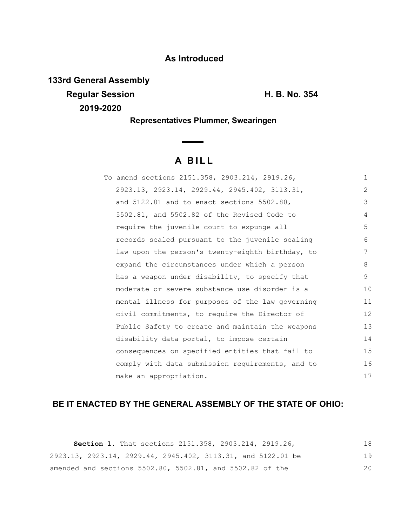### **As Introduced**

**133rd General Assembly**

**Regular Session H. B. No. 354**

**2019-2020**

**Representatives Plummer, Swearingen**

# **A B I L L**

| To amend sections 2151.358, 2903.214, 2919.26,   | $\mathbf{1}$   |
|--------------------------------------------------|----------------|
| 2923.13, 2923.14, 2929.44, 2945.402, 3113.31,    | $\overline{2}$ |
| and 5122.01 and to enact sections 5502.80,       | 3              |
| 5502.81, and 5502.82 of the Revised Code to      | 4              |
| require the juvenile court to expunge all        | 5              |
| records sealed pursuant to the juvenile sealing  | 6              |
| law upon the person's twenty-eighth birthday, to | 7              |
| expand the circumstances under which a person    | 8              |
| has a weapon under disability, to specify that   | 9              |
| moderate or severe substance use disorder is a   | 10             |
| mental illness for purposes of the law governing | 11             |
| civil commitments, to require the Director of    | 12             |
| Public Safety to create and maintain the weapons | 13             |
| disability data portal, to impose certain        | 14             |
| consequences on specified entities that fail to  | 15             |
| comply with data submission requirements, and to | 16             |
| make an appropriation.                           | 17             |

## **BE IT ENACTED BY THE GENERAL ASSEMBLY OF THE STATE OF OHIO:**

| Section 1. That sections 2151.358, 2903.214, 2919.26,        | 18 |
|--------------------------------------------------------------|----|
| 2923.13, 2923.14, 2929.44, 2945.402, 3113.31, and 5122.01 be | 19 |
| amended and sections 5502.80, 5502.81, and 5502.82 of the    | 20 |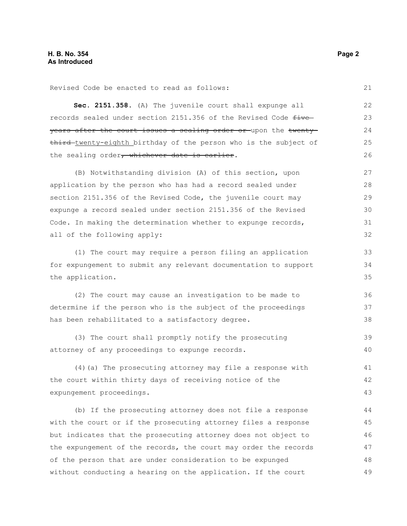Revised Code be enacted to read as follows: **Sec. 2151.358.** (A) The juvenile court shall expunge all records sealed under section 2151.356 of the Revised Code  $f$ iveyears after the court issues a sealing order or upon the twentythird twenty-eighth birthday of the person who is the subject of the sealing order, whichever date is earlier. (B) Notwithstanding division (A) of this section, upon application by the person who has had a record sealed under section 2151.356 of the Revised Code, the juvenile court may expunge a record sealed under section 2151.356 of the Revised Code. In making the determination whether to expunge records, all of the following apply: (1) The court may require a person filing an application for expungement to submit any relevant documentation to support the application. (2) The court may cause an investigation to be made to determine if the person who is the subject of the proceedings has been rehabilitated to a satisfactory degree. (3) The court shall promptly notify the prosecuting attorney of any proceedings to expunge records. (4)(a) The prosecuting attorney may file a response with the court within thirty days of receiving notice of the expungement proceedings. (b) If the prosecuting attorney does not file a response with the court or if the prosecuting attorney files a response but indicates that the prosecuting attorney does not object to the expungement of the records, the court may order the records of the person that are under consideration to be expunged without conducting a hearing on the application. If the court 21 22 23 24 25 26 27 28 29 30 31 32 33 34 35 36 37 38 39 40 41 42 43 44 45 46 47 48 49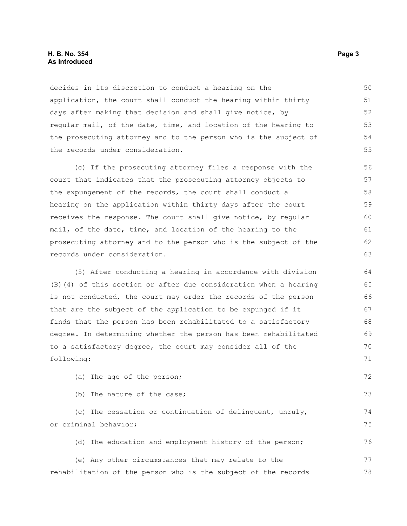#### **H. B. No. 354 Page 3 As Introduced**

decides in its discretion to conduct a hearing on the application, the court shall conduct the hearing within thirty days after making that decision and shall give notice, by regular mail, of the date, time, and location of the hearing to the prosecuting attorney and to the person who is the subject of the records under consideration. 50 51 52 53 54 55

(c) If the prosecuting attorney files a response with the court that indicates that the prosecuting attorney objects to the expungement of the records, the court shall conduct a hearing on the application within thirty days after the court receives the response. The court shall give notice, by regular mail, of the date, time, and location of the hearing to the prosecuting attorney and to the person who is the subject of the records under consideration. 56 57 58 59 60 61 62 63

(5) After conducting a hearing in accordance with division (B)(4) of this section or after due consideration when a hearing is not conducted, the court may order the records of the person that are the subject of the application to be expunged if it finds that the person has been rehabilitated to a satisfactory degree. In determining whether the person has been rehabilitated to a satisfactory degree, the court may consider all of the following:

(a) The age of the person;

(b) The nature of the case;

(c) The cessation or continuation of delinquent, unruly, or criminal behavior; 74 75

(d) The education and employment history of the person; 76

(e) Any other circumstances that may relate to the rehabilitation of the person who is the subject of the records 77 78

72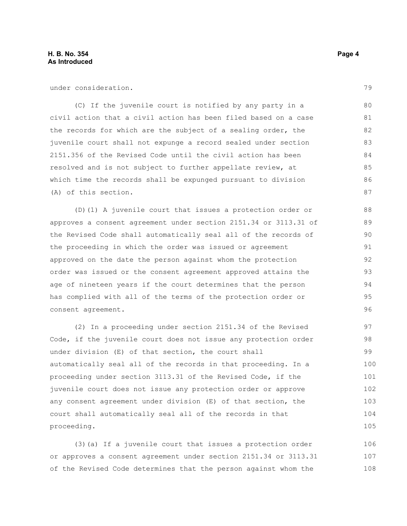under consideration.

(C) If the juvenile court is notified by any party in a civil action that a civil action has been filed based on a case the records for which are the subject of a sealing order, the juvenile court shall not expunge a record sealed under section 2151.356 of the Revised Code until the civil action has been resolved and is not subject to further appellate review, at which time the records shall be expunged pursuant to division (A) of this section. 80 81 82 83 84 86 87

(D)(1) A juvenile court that issues a protection order or approves a consent agreement under section 2151.34 or 3113.31 of the Revised Code shall automatically seal all of the records of the proceeding in which the order was issued or agreement approved on the date the person against whom the protection order was issued or the consent agreement approved attains the age of nineteen years if the court determines that the person has complied with all of the terms of the protection order or consent agreement.

(2) In a proceeding under section 2151.34 of the Revised Code, if the juvenile court does not issue any protection order under division (E) of that section, the court shall automatically seal all of the records in that proceeding. In a proceeding under section 3113.31 of the Revised Code, if the juvenile court does not issue any protection order or approve any consent agreement under division (E) of that section, the court shall automatically seal all of the records in that proceeding.

(3)(a) If a juvenile court that issues a protection order or approves a consent agreement under section 2151.34 or 3113.31 of the Revised Code determines that the person against whom the 106 107 108

79

85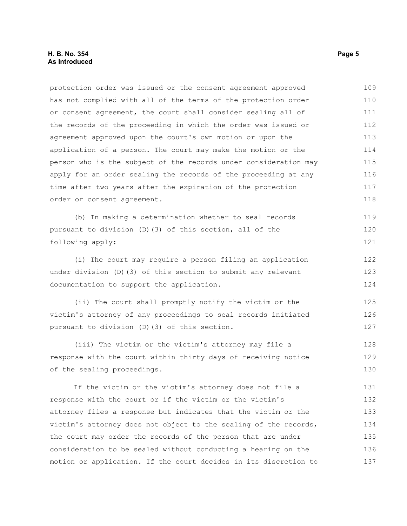#### **H. B. No. 354 Page 5 As Introduced**

protection order was issued or the consent agreement approved has not complied with all of the terms of the protection order or consent agreement, the court shall consider sealing all of the records of the proceeding in which the order was issued or agreement approved upon the court's own motion or upon the application of a person. The court may make the motion or the person who is the subject of the records under consideration may apply for an order sealing the records of the proceeding at any time after two years after the expiration of the protection order or consent agreement. 109 110 111 112 113 114 115 116 117 118

(b) In making a determination whether to seal records pursuant to division (D)(3) of this section, all of the following apply:

(i) The court may require a person filing an application under division (D)(3) of this section to submit any relevant documentation to support the application.

(ii) The court shall promptly notify the victim or the victim's attorney of any proceedings to seal records initiated pursuant to division (D)(3) of this section. 126

(iii) The victim or the victim's attorney may file a response with the court within thirty days of receiving notice of the sealing proceedings. 128 129 130

If the victim or the victim's attorney does not file a response with the court or if the victim or the victim's attorney files a response but indicates that the victim or the victim's attorney does not object to the sealing of the records, the court may order the records of the person that are under consideration to be sealed without conducting a hearing on the motion or application. If the court decides in its discretion to 131 132 133 134 135 136 137

119 120 121

122 123 124

125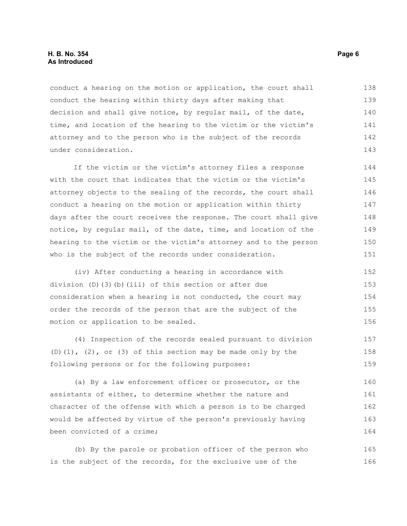#### **H. B. No. 354 Page 6 As Introduced**

conduct a hearing on the motion or application, the court shall conduct the hearing within thirty days after making that decision and shall give notice, by regular mail, of the date, time, and location of the hearing to the victim or the victim's attorney and to the person who is the subject of the records under consideration. 138 139 140 141 142 143

If the victim or the victim's attorney files a response with the court that indicates that the victim or the victim's attorney objects to the sealing of the records, the court shall conduct a hearing on the motion or application within thirty days after the court receives the response. The court shall give notice, by regular mail, of the date, time, and location of the hearing to the victim or the victim's attorney and to the person who is the subject of the records under consideration. 144 145 146 147 148 149 150 151

(iv) After conducting a hearing in accordance with division (D)(3)(b)(iii) of this section or after due consideration when a hearing is not conducted, the court may order the records of the person that are the subject of the motion or application to be sealed. 152 153 154 155 156

(4) Inspection of the records sealed pursuant to division (D)(1), (2), or (3) of this section may be made only by the following persons or for the following purposes: 157 158 159

(a) By a law enforcement officer or prosecutor, or the assistants of either, to determine whether the nature and character of the offense with which a person is to be charged would be affected by virtue of the person's previously having been convicted of a crime; 160 161 162 163 164

(b) By the parole or probation officer of the person who is the subject of the records, for the exclusive use of the 165 166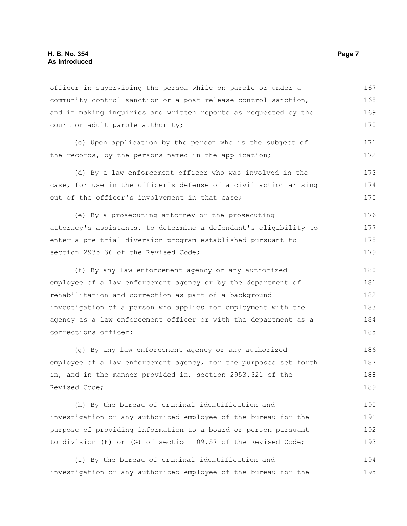officer in supervising the person while on parole or under a community control sanction or a post-release control sanction, and in making inquiries and written reports as requested by the court or adult parole authority; 167 168 169 170

(c) Upon application by the person who is the subject of the records, by the persons named in the application; 171 172

(d) By a law enforcement officer who was involved in the case, for use in the officer's defense of a civil action arising out of the officer's involvement in that case; 173 174 175

(e) By a prosecuting attorney or the prosecuting attorney's assistants, to determine a defendant's eligibility to enter a pre-trial diversion program established pursuant to section 2935.36 of the Revised Code; 176 177 178 179

(f) By any law enforcement agency or any authorized employee of a law enforcement agency or by the department of rehabilitation and correction as part of a background investigation of a person who applies for employment with the agency as a law enforcement officer or with the department as a corrections officer; 180 181 182 183 184 185

(g) By any law enforcement agency or any authorized employee of a law enforcement agency, for the purposes set forth in, and in the manner provided in, section 2953.321 of the Revised Code; 186 187 188 189

(h) By the bureau of criminal identification and investigation or any authorized employee of the bureau for the purpose of providing information to a board or person pursuant to division (F) or (G) of section 109.57 of the Revised Code; 190 191 192 193

(i) By the bureau of criminal identification and investigation or any authorized employee of the bureau for the 194 195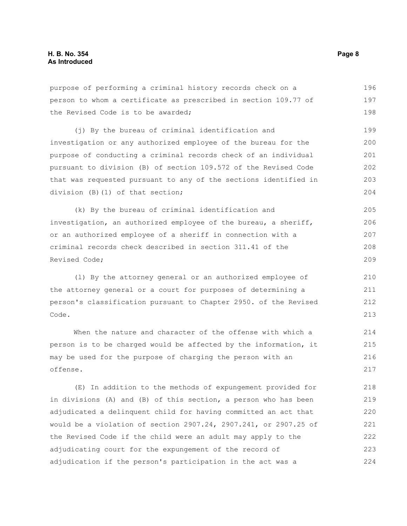purpose of performing a criminal history records check on a person to whom a certificate as prescribed in section 109.77 of the Revised Code is to be awarded; 196 197 198

(j) By the bureau of criminal identification and investigation or any authorized employee of the bureau for the purpose of conducting a criminal records check of an individual pursuant to division (B) of section 109.572 of the Revised Code that was requested pursuant to any of the sections identified in division (B)(1) of that section; 199 200 201 202 203 204

(k) By the bureau of criminal identification and investigation, an authorized employee of the bureau, a sheriff, or an authorized employee of a sheriff in connection with a criminal records check described in section 311.41 of the Revised Code; 205 206 207 208 209

(l) By the attorney general or an authorized employee of the attorney general or a court for purposes of determining a person's classification pursuant to Chapter 2950. of the Revised Code.

When the nature and character of the offense with which a person is to be charged would be affected by the information, it may be used for the purpose of charging the person with an offense.

(E) In addition to the methods of expungement provided for in divisions (A) and (B) of this section, a person who has been adjudicated a delinquent child for having committed an act that would be a violation of section 2907.24, 2907.241, or 2907.25 of the Revised Code if the child were an adult may apply to the adjudicating court for the expungement of the record of adjudication if the person's participation in the act was a 218 219 220 221 222 223 224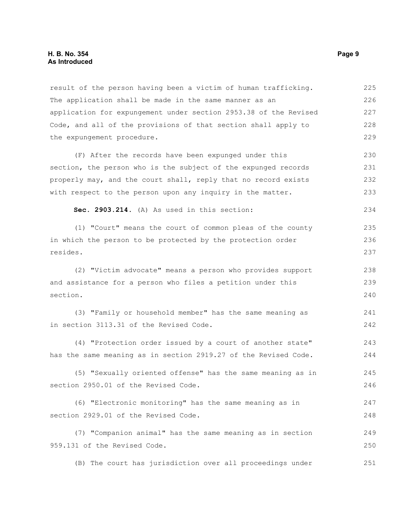#### **H. B. No. 354 Page 9 As Introduced**

result of the person having been a victim of human trafficking. The application shall be made in the same manner as an application for expungement under section 2953.38 of the Revised Code, and all of the provisions of that section shall apply to the expungement procedure. 225 226 227 228 229

(F) After the records have been expunged under this section, the person who is the subject of the expunged records properly may, and the court shall, reply that no record exists with respect to the person upon any inquiry in the matter. 230 231 232 233

**Sec. 2903.214.** (A) As used in this section:

(1) "Court" means the court of common pleas of the county in which the person to be protected by the protection order resides. 235 236 237

(2) "Victim advocate" means a person who provides support and assistance for a person who files a petition under this section. 238 239 240

(3) "Family or household member" has the same meaning as in section 3113.31 of the Revised Code. 241 242

(4) "Protection order issued by a court of another state" has the same meaning as in section 2919.27 of the Revised Code. 243 244

(5) "Sexually oriented offense" has the same meaning as in section 2950.01 of the Revised Code. 245 246

(6) "Electronic monitoring" has the same meaning as in section 2929.01 of the Revised Code. 247 248

(7) "Companion animal" has the same meaning as in section 959.131 of the Revised Code. 249 250

(B) The court has jurisdiction over all proceedings under 251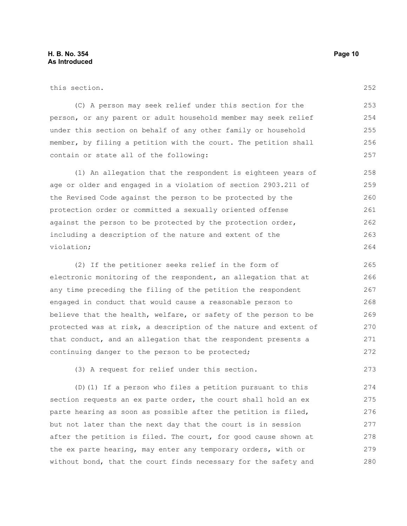252

264

273

this section.

(C) A person may seek relief under this section for the person, or any parent or adult household member may seek relief under this section on behalf of any other family or household member, by filing a petition with the court. The petition shall contain or state all of the following:

(1) An allegation that the respondent is eighteen years of age or older and engaged in a violation of section 2903.211 of the Revised Code against the person to be protected by the protection order or committed a sexually oriented offense against the person to be protected by the protection order, including a description of the nature and extent of the violation; 258 259 260 261 262 263

(2) If the petitioner seeks relief in the form of electronic monitoring of the respondent, an allegation that at any time preceding the filing of the petition the respondent engaged in conduct that would cause a reasonable person to believe that the health, welfare, or safety of the person to be protected was at risk, a description of the nature and extent of that conduct, and an allegation that the respondent presents a continuing danger to the person to be protected; 265 266 267 268 269 270 271 272

(3) A request for relief under this section.

(D)(1) If a person who files a petition pursuant to this section requests an ex parte order, the court shall hold an ex parte hearing as soon as possible after the petition is filed, but not later than the next day that the court is in session after the petition is filed. The court, for good cause shown at the ex parte hearing, may enter any temporary orders, with or without bond, that the court finds necessary for the safety and 274 275 276 277 278 279 280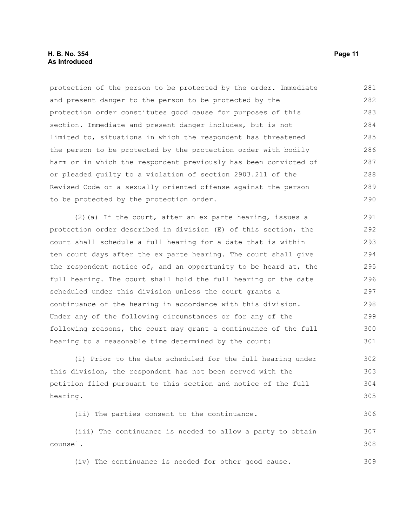#### **H. B. No. 354 Page 11 As Introduced**

protection of the person to be protected by the order. Immediate and present danger to the person to be protected by the protection order constitutes good cause for purposes of this section. Immediate and present danger includes, but is not limited to, situations in which the respondent has threatened the person to be protected by the protection order with bodily harm or in which the respondent previously has been convicted of or pleaded guilty to a violation of section 2903.211 of the Revised Code or a sexually oriented offense against the person to be protected by the protection order. 281 282 283 284 285 286 287 288 289 290

 $(2)$  (a) If the court, after an ex parte hearing, issues a protection order described in division (E) of this section, the court shall schedule a full hearing for a date that is within ten court days after the ex parte hearing. The court shall give the respondent notice of, and an opportunity to be heard at, the full hearing. The court shall hold the full hearing on the date scheduled under this division unless the court grants a continuance of the hearing in accordance with this division. Under any of the following circumstances or for any of the following reasons, the court may grant a continuance of the full hearing to a reasonable time determined by the court: 291 292 293 294 295 296 297 298 299 300 301

(i) Prior to the date scheduled for the full hearing under this division, the respondent has not been served with the petition filed pursuant to this section and notice of the full hearing. 302 303 304 305

(ii) The parties consent to the continuance. 306

(iii) The continuance is needed to allow a party to obtain counsel. 307 308

(iv) The continuance is needed for other good cause. 309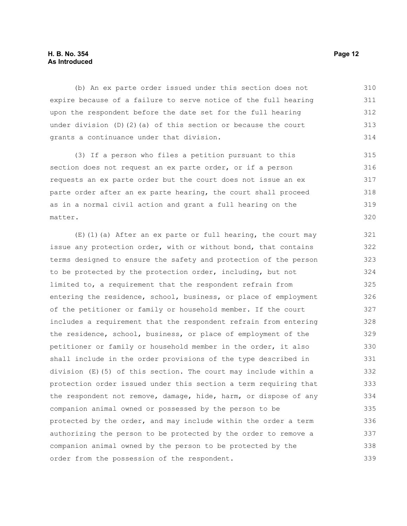#### **H. B. No. 354 Page 12 As Introduced**

(b) An ex parte order issued under this section does not expire because of a failure to serve notice of the full hearing upon the respondent before the date set for the full hearing under division  $(D)(2)(a)$  of this section or because the court grants a continuance under that division. 310 311 312 313 314

(3) If a person who files a petition pursuant to this section does not request an ex parte order, or if a person requests an ex parte order but the court does not issue an ex parte order after an ex parte hearing, the court shall proceed as in a normal civil action and grant a full hearing on the matter.

 $(E)$ (1)(a) After an ex parte or full hearing, the court may issue any protection order, with or without bond, that contains terms designed to ensure the safety and protection of the person to be protected by the protection order, including, but not limited to, a requirement that the respondent refrain from entering the residence, school, business, or place of employment of the petitioner or family or household member. If the court includes a requirement that the respondent refrain from entering the residence, school, business, or place of employment of the petitioner or family or household member in the order, it also shall include in the order provisions of the type described in division (E)(5) of this section. The court may include within a protection order issued under this section a term requiring that the respondent not remove, damage, hide, harm, or dispose of any companion animal owned or possessed by the person to be protected by the order, and may include within the order a term authorizing the person to be protected by the order to remove a companion animal owned by the person to be protected by the order from the possession of the respondent. 321 322 323 324 325 326 327 328 329 330 331 332 333 334 335 336 337 338 339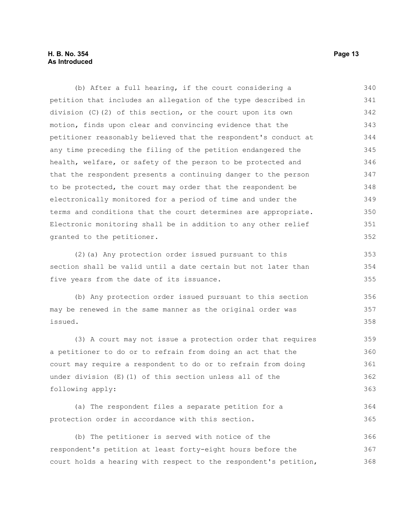#### **H. B. No. 354 Page 13 As Introduced**

(b) After a full hearing, if the court considering a petition that includes an allegation of the type described in division (C)(2) of this section, or the court upon its own motion, finds upon clear and convincing evidence that the petitioner reasonably believed that the respondent's conduct at any time preceding the filing of the petition endangered the health, welfare, or safety of the person to be protected and that the respondent presents a continuing danger to the person to be protected, the court may order that the respondent be electronically monitored for a period of time and under the terms and conditions that the court determines are appropriate. Electronic monitoring shall be in addition to any other relief granted to the petitioner. (2)(a) Any protection order issued pursuant to this 340 341 342 343 344 345 346 347 348 349 350 351 352 353

section shall be valid until a date certain but not later than five years from the date of its issuance. 354 355

(b) Any protection order issued pursuant to this section may be renewed in the same manner as the original order was issued. 356 357 358

(3) A court may not issue a protection order that requires a petitioner to do or to refrain from doing an act that the court may require a respondent to do or to refrain from doing under division (E)(1) of this section unless all of the following apply: 359 360 361 362 363

(a) The respondent files a separate petition for a protection order in accordance with this section. 364 365

(b) The petitioner is served with notice of the respondent's petition at least forty-eight hours before the court holds a hearing with respect to the respondent's petition, 366 367 368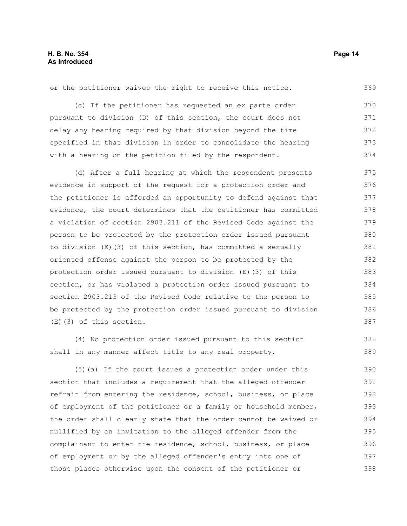or the petitioner waives the right to receive this notice. 369

(c) If the petitioner has requested an ex parte order pursuant to division (D) of this section, the court does not delay any hearing required by that division beyond the time specified in that division in order to consolidate the hearing with a hearing on the petition filed by the respondent. 370 371 372 373 374

(d) After a full hearing at which the respondent presents evidence in support of the request for a protection order and the petitioner is afforded an opportunity to defend against that evidence, the court determines that the petitioner has committed a violation of section 2903.211 of the Revised Code against the person to be protected by the protection order issued pursuant to division (E)(3) of this section, has committed a sexually oriented offense against the person to be protected by the protection order issued pursuant to division (E)(3) of this section, or has violated a protection order issued pursuant to section 2903.213 of the Revised Code relative to the person to be protected by the protection order issued pursuant to division (E)(3) of this section. 375 376 377 378 379 380 381 382 383 384 385 386 387

(4) No protection order issued pursuant to this section shall in any manner affect title to any real property.

(5)(a) If the court issues a protection order under this section that includes a requirement that the alleged offender refrain from entering the residence, school, business, or place of employment of the petitioner or a family or household member, the order shall clearly state that the order cannot be waived or nullified by an invitation to the alleged offender from the complainant to enter the residence, school, business, or place of employment or by the alleged offender's entry into one of those places otherwise upon the consent of the petitioner or 390 391 392 393 394 395 396 397 398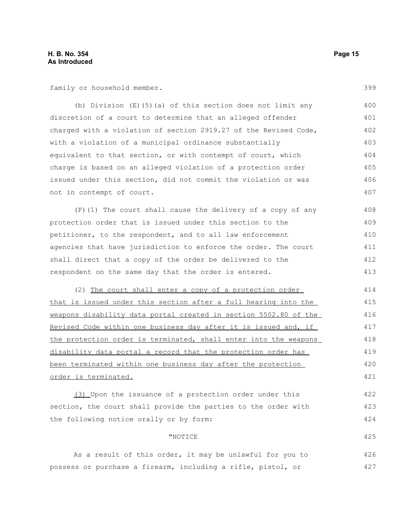family or household member.

(b) Division (E)(5)(a) of this section does not limit any discretion of a court to determine that an alleged offender charged with a violation of section 2919.27 of the Revised Code, with a violation of a municipal ordinance substantially equivalent to that section, or with contempt of court, which charge is based on an alleged violation of a protection order issued under this section, did not commit the violation or was not in contempt of court. 400 401 402 403 404 405 406 407

(F)(1) The court shall cause the delivery of a copy of any protection order that is issued under this section to the petitioner, to the respondent, and to all law enforcement agencies that have jurisdiction to enforce the order. The court shall direct that a copy of the order be delivered to the respondent on the same day that the order is entered. 408 409 410 411 412 413

(2) The court shall enter a copy of a protection order that is issued under this section after a full hearing into the weapons disability data portal created in section 5502.80 of the Revised Code within one business day after it is issued and, if the protection order is terminated, shall enter into the weapons disability data portal a record that the protection order has been terminated within one business day after the protection order is terminated. 414 415 416 417 418 419 420 421

(3) Upon the issuance of a protection order under this section, the court shall provide the parties to the order with the following notice orally or by form: 422 423 424

#### "NOTICE

|                                                              | As a result of this order, it may be unlawful for you to |  |  |  |  |  | 426 |
|--------------------------------------------------------------|----------------------------------------------------------|--|--|--|--|--|-----|
| possess or purchase a firearm, including a rifle, pistol, or |                                                          |  |  |  |  |  | 427 |

425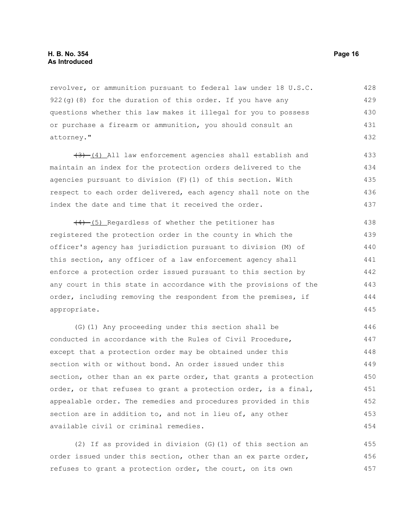revolver, or ammunition pursuant to federal law under 18 U.S.C.  $922(q)(8)$  for the duration of this order. If you have any questions whether this law makes it illegal for you to possess or purchase a firearm or ammunition, you should consult an attorney." 428 429 430 431 432

 $(3)$  (4) All law enforcement agencies shall establish and maintain an index for the protection orders delivered to the agencies pursuant to division (F)(1) of this section. With respect to each order delivered, each agency shall note on the index the date and time that it received the order. 433 434 435 436 437

 $(4)$  (5) Regardless of whether the petitioner has registered the protection order in the county in which the officer's agency has jurisdiction pursuant to division (M) of this section, any officer of a law enforcement agency shall enforce a protection order issued pursuant to this section by any court in this state in accordance with the provisions of the order, including removing the respondent from the premises, if appropriate. 438 439 440 441 442 443 444 445

(G)(1) Any proceeding under this section shall be conducted in accordance with the Rules of Civil Procedure, except that a protection order may be obtained under this section with or without bond. An order issued under this section, other than an ex parte order, that grants a protection order, or that refuses to grant a protection order, is a final, appealable order. The remedies and procedures provided in this section are in addition to, and not in lieu of, any other available civil or criminal remedies. 446 447 448 449 450 451 452 453 454

(2) If as provided in division (G)(1) of this section an order issued under this section, other than an ex parte order, refuses to grant a protection order, the court, on its own 455 456 457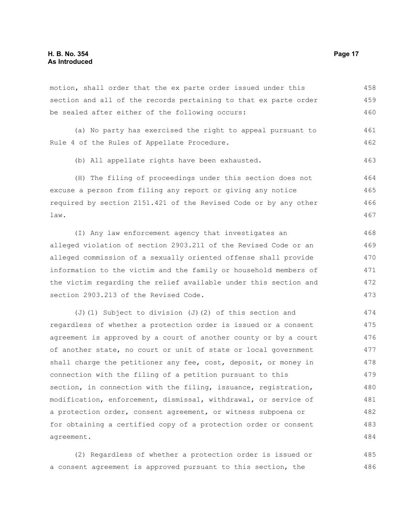motion, shall order that the ex parte order issued under this section and all of the records pertaining to that ex parte order be sealed after either of the following occurs: 458 459 460

(a) No party has exercised the right to appeal pursuant to Rule 4 of the Rules of Appellate Procedure. 461 462

(b) All appellate rights have been exhausted. 463

(H) The filing of proceedings under this section does not excuse a person from filing any report or giving any notice required by section 2151.421 of the Revised Code or by any other law. 464 465 466 467

(I) Any law enforcement agency that investigates an alleged violation of section 2903.211 of the Revised Code or an alleged commission of a sexually oriented offense shall provide information to the victim and the family or household members of the victim regarding the relief available under this section and section 2903.213 of the Revised Code. 468 469 470 471 472 473

(J)(1) Subject to division (J)(2) of this section and regardless of whether a protection order is issued or a consent agreement is approved by a court of another county or by a court of another state, no court or unit of state or local government shall charge the petitioner any fee, cost, deposit, or money in connection with the filing of a petition pursuant to this section, in connection with the filing, issuance, registration, modification, enforcement, dismissal, withdrawal, or service of a protection order, consent agreement, or witness subpoena or for obtaining a certified copy of a protection order or consent agreement. 474 475 476 477 478 479 480 481 482 483 484

(2) Regardless of whether a protection order is issued or a consent agreement is approved pursuant to this section, the 485 486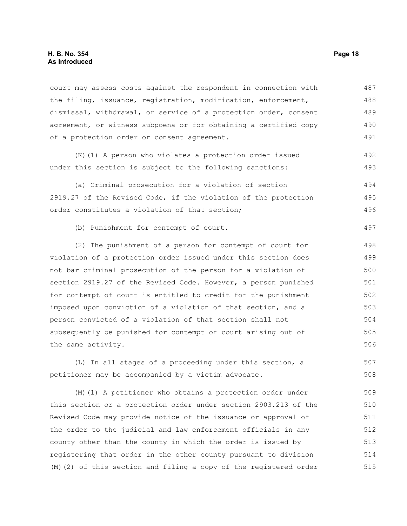court may assess costs against the respondent in connection with the filing, issuance, registration, modification, enforcement, dismissal, withdrawal, or service of a protection order, consent agreement, or witness subpoena or for obtaining a certified copy of a protection order or consent agreement. 487 488 489 490 491

(K)(1) A person who violates a protection order issued under this section is subject to the following sanctions: 492 493

(a) Criminal prosecution for a violation of section 2919.27 of the Revised Code, if the violation of the protection order constitutes a violation of that section; 494 495 496

(b) Punishment for contempt of court. 497

(2) The punishment of a person for contempt of court for violation of a protection order issued under this section does not bar criminal prosecution of the person for a violation of section 2919.27 of the Revised Code. However, a person punished for contempt of court is entitled to credit for the punishment imposed upon conviction of a violation of that section, and a person convicted of a violation of that section shall not subsequently be punished for contempt of court arising out of the same activity.

(L) In all stages of a proceeding under this section, a petitioner may be accompanied by a victim advocate. 507 508

(M)(1) A petitioner who obtains a protection order under this section or a protection order under section 2903.213 of the Revised Code may provide notice of the issuance or approval of the order to the judicial and law enforcement officials in any county other than the county in which the order is issued by registering that order in the other county pursuant to division (M)(2) of this section and filing a copy of the registered order 509 510 511 512 513 514 515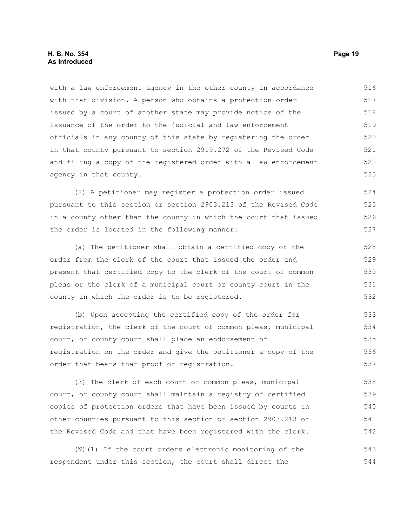#### **H. B. No. 354 Page 19 As Introduced**

with a law enforcement agency in the other county in accordance with that division. A person who obtains a protection order issued by a court of another state may provide notice of the issuance of the order to the judicial and law enforcement officials in any county of this state by registering the order in that county pursuant to section 2919.272 of the Revised Code and filing a copy of the registered order with a law enforcement agency in that county. 516 517 518 519 520 521 522 523

(2) A petitioner may register a protection order issued pursuant to this section or section 2903.213 of the Revised Code in a county other than the county in which the court that issued the order is located in the following manner:

(a) The petitioner shall obtain a certified copy of the order from the clerk of the court that issued the order and present that certified copy to the clerk of the court of common pleas or the clerk of a municipal court or county court in the county in which the order is to be registered.

(b) Upon accepting the certified copy of the order for registration, the clerk of the court of common pleas, municipal court, or county court shall place an endorsement of registration on the order and give the petitioner a copy of the order that bears that proof of registration. 533 534 535 536 537

(3) The clerk of each court of common pleas, municipal court, or county court shall maintain a registry of certified copies of protection orders that have been issued by courts in other counties pursuant to this section or section 2903.213 of the Revised Code and that have been registered with the clerk. 538 539 540 541 542

(N)(1) If the court orders electronic monitoring of the respondent under this section, the court shall direct the 543 544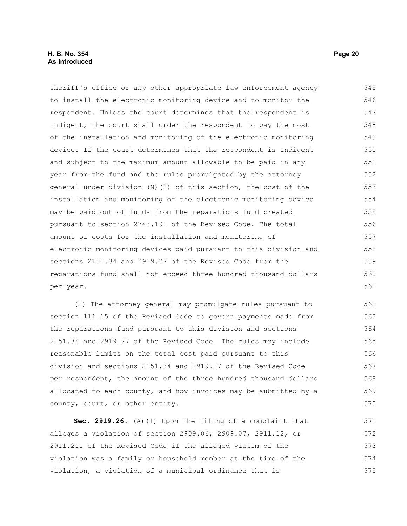#### **H. B. No. 354 Page 20 As Introduced**

sheriff's office or any other appropriate law enforcement agency to install the electronic monitoring device and to monitor the respondent. Unless the court determines that the respondent is indigent, the court shall order the respondent to pay the cost of the installation and monitoring of the electronic monitoring device. If the court determines that the respondent is indigent and subject to the maximum amount allowable to be paid in any year from the fund and the rules promulgated by the attorney general under division (N)(2) of this section, the cost of the installation and monitoring of the electronic monitoring device may be paid out of funds from the reparations fund created pursuant to section 2743.191 of the Revised Code. The total amount of costs for the installation and monitoring of electronic monitoring devices paid pursuant to this division and sections 2151.34 and 2919.27 of the Revised Code from the reparations fund shall not exceed three hundred thousand dollars per year. 545 546 547 548 549 550 551 552 553 554 555 556 557 558 559 560 561

(2) The attorney general may promulgate rules pursuant to section 111.15 of the Revised Code to govern payments made from the reparations fund pursuant to this division and sections 2151.34 and 2919.27 of the Revised Code. The rules may include reasonable limits on the total cost paid pursuant to this division and sections 2151.34 and 2919.27 of the Revised Code per respondent, the amount of the three hundred thousand dollars allocated to each county, and how invoices may be submitted by a county, court, or other entity. 562 563 564 565 566 567 568 569 570

**Sec. 2919.26.** (A)(1) Upon the filing of a complaint that alleges a violation of section 2909.06, 2909.07, 2911.12, or 2911.211 of the Revised Code if the alleged victim of the violation was a family or household member at the time of the violation, a violation of a municipal ordinance that is 571 572 573 574 575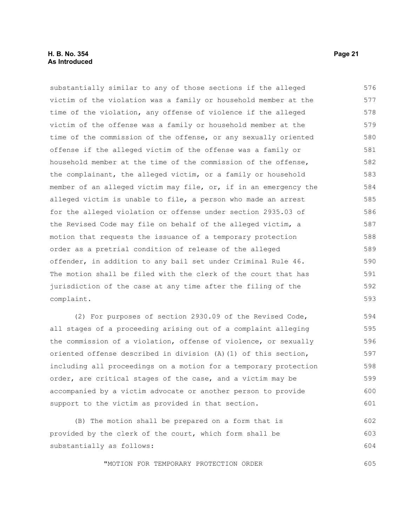#### **H. B. No. 354 Page 21 As Introduced**

substantially similar to any of those sections if the alleged victim of the violation was a family or household member at the time of the violation, any offense of violence if the alleged victim of the offense was a family or household member at the time of the commission of the offense, or any sexually oriented offense if the alleged victim of the offense was a family or household member at the time of the commission of the offense, the complainant, the alleged victim, or a family or household member of an alleged victim may file, or, if in an emergency the alleged victim is unable to file, a person who made an arrest for the alleged violation or offense under section 2935.03 of the Revised Code may file on behalf of the alleged victim, a motion that requests the issuance of a temporary protection order as a pretrial condition of release of the alleged offender, in addition to any bail set under Criminal Rule 46. The motion shall be filed with the clerk of the court that has jurisdiction of the case at any time after the filing of the complaint. 576 577 578 579 580 581 582 583 584 585 586 587 588 589 590 591 592 593

(2) For purposes of section 2930.09 of the Revised Code, all stages of a proceeding arising out of a complaint alleging the commission of a violation, offense of violence, or sexually oriented offense described in division (A)(1) of this section, including all proceedings on a motion for a temporary protection order, are critical stages of the case, and a victim may be accompanied by a victim advocate or another person to provide support to the victim as provided in that section.

(B) The motion shall be prepared on a form that is provided by the clerk of the court, which form shall be substantially as follows: 602 603 604

"MOTION FOR TEMPORARY PROTECTION ORDER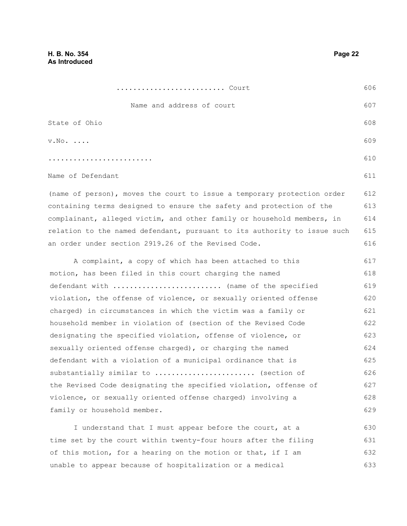| <b></b> Court                                                            | 606 |
|--------------------------------------------------------------------------|-----|
| Name and address of court                                                | 607 |
| State of Ohio                                                            | 608 |
| $V.NO.$                                                                  | 609 |
|                                                                          | 610 |
| Name of Defendant                                                        | 611 |
| (name of person), moves the court to issue a temporary protection order  | 612 |
| containing terms designed to ensure the safety and protection of the     | 613 |
| complainant, alleged victim, and other family or household members, in   | 614 |
| relation to the named defendant, pursuant to its authority to issue such | 615 |
| an order under section 2919.26 of the Revised Code.                      | 616 |
| A complaint, a copy of which has been attached to this                   | 617 |
| motion, has been filed in this court charging the named                  | 618 |
| defendant with  (name of the specified                                   | 619 |
| violation, the offense of violence, or sexually oriented offense         | 620 |
| charged) in circumstances in which the victim was a family or            | 621 |
| household member in violation of (section of the Revised Code            | 622 |

designating the specified violation, offense of violence, or sexually oriented offense charged), or charging the named defendant with a violation of a municipal ordinance that is substantially similar to .......................... (section of the Revised Code designating the specified violation, offense of violence, or sexually oriented offense charged) involving a family or household member. 623 624 625 626 627 628 629

I understand that I must appear before the court, at a time set by the court within twenty-four hours after the filing of this motion, for a hearing on the motion or that, if I am unable to appear because of hospitalization or a medical 630 631 632 633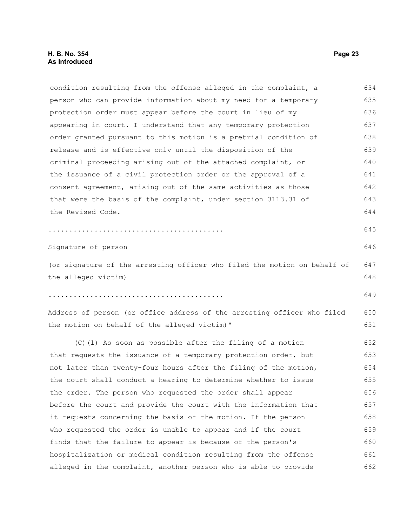condition resulting from the offense alleged in the complaint, a person who can provide information about my need for a temporary protection order must appear before the court in lieu of my appearing in court. I understand that any temporary protection order granted pursuant to this motion is a pretrial condition of release and is effective only until the disposition of the criminal proceeding arising out of the attached complaint, or the issuance of a civil protection order or the approval of a consent agreement, arising out of the same activities as those that were the basis of the complaint, under section 3113.31 of the Revised Code. .......................................... Signature of person (or signature of the arresting officer who filed the motion on behalf of the alleged victim) .......................................... Address of person (or office address of the arresting officer who filed the motion on behalf of the alleged victim)" (C)(1) As soon as possible after the filing of a motion that requests the issuance of a temporary protection order, but not later than twenty-four hours after the filing of the motion, the court shall conduct a hearing to determine whether to issue the order. The person who requested the order shall appear before the court and provide the court with the information that it requests concerning the basis of the motion. If the person who requested the order is unable to appear and if the court finds that the failure to appear is because of the person's hospitalization or medical condition resulting from the offense alleged in the complaint, another person who is able to provide 634 635 636 637 638 639 640 641 642 643 644 645 646 647 648 649 650 651 652 653 654 655 656 657 658 659 660 661 662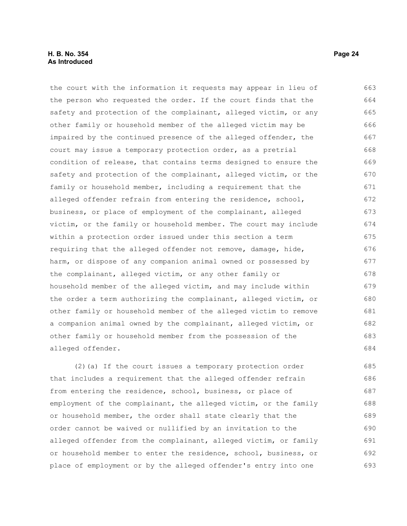#### **H. B. No. 354 Page 24 As Introduced**

the court with the information it requests may appear in lieu of the person who requested the order. If the court finds that the safety and protection of the complainant, alleged victim, or any other family or household member of the alleged victim may be impaired by the continued presence of the alleged offender, the court may issue a temporary protection order, as a pretrial condition of release, that contains terms designed to ensure the safety and protection of the complainant, alleged victim, or the family or household member, including a requirement that the alleged offender refrain from entering the residence, school, business, or place of employment of the complainant, alleged victim, or the family or household member. The court may include within a protection order issued under this section a term requiring that the alleged offender not remove, damage, hide, harm, or dispose of any companion animal owned or possessed by the complainant, alleged victim, or any other family or household member of the alleged victim, and may include within the order a term authorizing the complainant, alleged victim, or other family or household member of the alleged victim to remove a companion animal owned by the complainant, alleged victim, or other family or household member from the possession of the alleged offender. 663 664 665 666 667 668 669 670 671 672 673 674 675 676 677 678 679 680 681 682 683 684

(2)(a) If the court issues a temporary protection order that includes a requirement that the alleged offender refrain from entering the residence, school, business, or place of employment of the complainant, the alleged victim, or the family or household member, the order shall state clearly that the order cannot be waived or nullified by an invitation to the alleged offender from the complainant, alleged victim, or family or household member to enter the residence, school, business, or place of employment or by the alleged offender's entry into one 685 686 687 688 689 690 691 692 693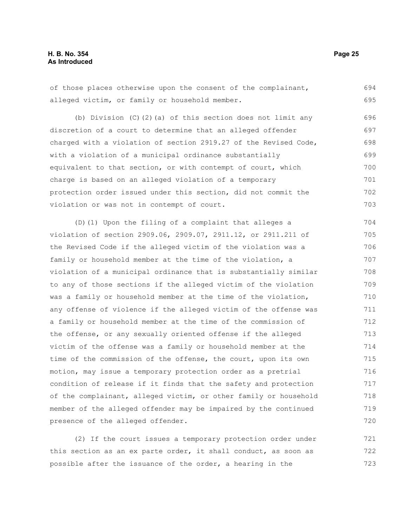#### **H. B. No. 354 Page 25 As Introduced**

of those places otherwise upon the consent of the complainant, alleged victim, or family or household member. 694 695

(b) Division (C)(2)(a) of this section does not limit any discretion of a court to determine that an alleged offender charged with a violation of section 2919.27 of the Revised Code, with a violation of a municipal ordinance substantially equivalent to that section, or with contempt of court, which charge is based on an alleged violation of a temporary protection order issued under this section, did not commit the violation or was not in contempt of court. 696 697 698 699 700 701 702 703

(D)(1) Upon the filing of a complaint that alleges a violation of section 2909.06, 2909.07, 2911.12, or 2911.211 of the Revised Code if the alleged victim of the violation was a family or household member at the time of the violation, a violation of a municipal ordinance that is substantially similar to any of those sections if the alleged victim of the violation was a family or household member at the time of the violation, any offense of violence if the alleged victim of the offense was a family or household member at the time of the commission of the offense, or any sexually oriented offense if the alleged victim of the offense was a family or household member at the time of the commission of the offense, the court, upon its own motion, may issue a temporary protection order as a pretrial condition of release if it finds that the safety and protection of the complainant, alleged victim, or other family or household member of the alleged offender may be impaired by the continued presence of the alleged offender. 704 705 706 707 708 709 710 711 712 713 714 715 716 717 718 719 720

(2) If the court issues a temporary protection order under this section as an ex parte order, it shall conduct, as soon as possible after the issuance of the order, a hearing in the 721 722 723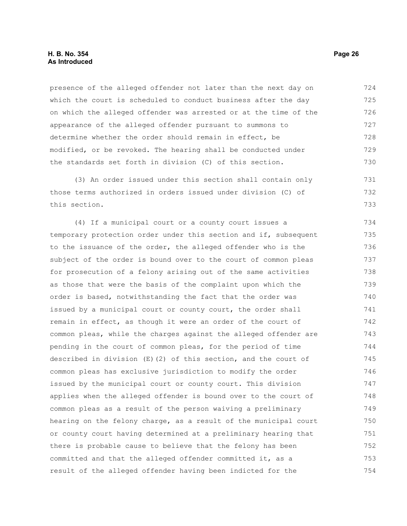#### **H. B. No. 354 Page 26 As Introduced**

presence of the alleged offender not later than the next day on which the court is scheduled to conduct business after the day on which the alleged offender was arrested or at the time of the appearance of the alleged offender pursuant to summons to determine whether the order should remain in effect, be modified, or be revoked. The hearing shall be conducted under the standards set forth in division (C) of this section. 724 725 726 727 728 729 730

(3) An order issued under this section shall contain only those terms authorized in orders issued under division (C) of this section. 731 732 733

(4) If a municipal court or a county court issues a temporary protection order under this section and if, subsequent to the issuance of the order, the alleged offender who is the subject of the order is bound over to the court of common pleas for prosecution of a felony arising out of the same activities as those that were the basis of the complaint upon which the order is based, notwithstanding the fact that the order was issued by a municipal court or county court, the order shall remain in effect, as though it were an order of the court of common pleas, while the charges against the alleged offender are pending in the court of common pleas, for the period of time described in division (E)(2) of this section, and the court of common pleas has exclusive jurisdiction to modify the order issued by the municipal court or county court. This division applies when the alleged offender is bound over to the court of common pleas as a result of the person waiving a preliminary hearing on the felony charge, as a result of the municipal court or county court having determined at a preliminary hearing that there is probable cause to believe that the felony has been committed and that the alleged offender committed it, as a result of the alleged offender having been indicted for the 734 735 736 737 738 739 740 741 742 743 744 745 746 747 748 749 750 751 752 753 754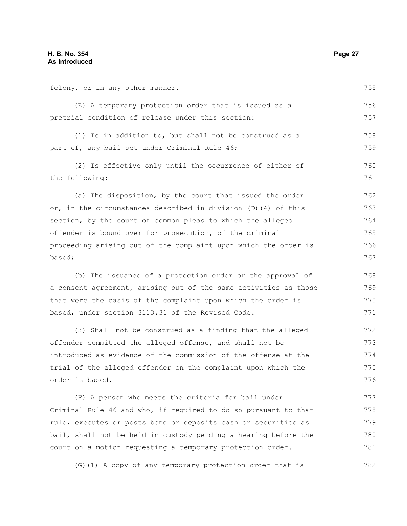felony, or in any other manner.

| felony, or in any other manner.                                  | 755 |
|------------------------------------------------------------------|-----|
| (E) A temporary protection order that is issued as a             | 756 |
| pretrial condition of release under this section:                | 757 |
| (1) Is in addition to, but shall not be construed as a           | 758 |
| part of, any bail set under Criminal Rule 46;                    | 759 |
| (2) Is effective only until the occurrence of either of          | 760 |
| the following:                                                   | 761 |
| (a) The disposition, by the court that issued the order          | 762 |
| or, in the circumstances described in division (D) (4) of this   | 763 |
| section, by the court of common pleas to which the alleged       | 764 |
| offender is bound over for prosecution, of the criminal          | 765 |
| proceeding arising out of the complaint upon which the order is  | 766 |
| based;                                                           | 767 |
| (b) The issuance of a protection order or the approval of        | 768 |
| a consent agreement, arising out of the same activities as those | 769 |
| that were the basis of the complaint upon which the order is     | 770 |
| based, under section 3113.31 of the Revised Code.                | 771 |
| (3) Shall not be construed as a finding that the alleged         | 772 |
| offender committed the alleged offense, and shall not be         | 773 |

introduced as evidence of the commission of the offense at the trial of the alleged offender on the complaint upon which the order is based. 774 775 776

(F) A person who meets the criteria for bail under Criminal Rule 46 and who, if required to do so pursuant to that rule, executes or posts bond or deposits cash or securities as bail, shall not be held in custody pending a hearing before the court on a motion requesting a temporary protection order. 777 778 779 780 781

(G)(1) A copy of any temporary protection order that is 782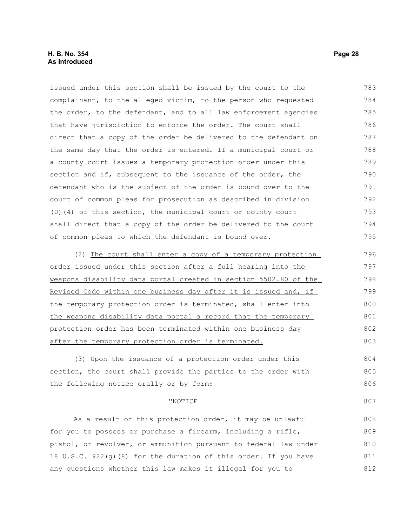#### **H. B. No. 354 Page 28 As Introduced**

issued under this section shall be issued by the court to the complainant, to the alleged victim, to the person who requested the order, to the defendant, and to all law enforcement agencies that have jurisdiction to enforce the order. The court shall direct that a copy of the order be delivered to the defendant on the same day that the order is entered. If a municipal court or a county court issues a temporary protection order under this section and if, subsequent to the issuance of the order, the defendant who is the subject of the order is bound over to the court of common pleas for prosecution as described in division (D)(4) of this section, the municipal court or county court shall direct that a copy of the order be delivered to the court of common pleas to which the defendant is bound over. 783 784 785 786 787 788 789 790 791 792 793 794 795

(2) The court shall enter a copy of a temporary protection order issued under this section after a full hearing into the weapons disability data portal created in section 5502.80 of the Revised Code within one business day after it is issued and, if the temporary protection order is terminated, shall enter into the weapons disability data portal a record that the temporary protection order has been terminated within one business day after the temporary protection order is terminated. 796 797 798 799 800 801 802 803

(3) Upon the issuance of a protection order under this section, the court shall provide the parties to the order with the following notice orally or by form:

#### "NOTICE

As a result of this protection order, it may be unlawful for you to possess or purchase a firearm, including a rifle, pistol, or revolver, or ammunition pursuant to federal law under 18 U.S.C. 922(g)(8) for the duration of this order. If you have any questions whether this law makes it illegal for you to 808 809 810 811 812

804 805 806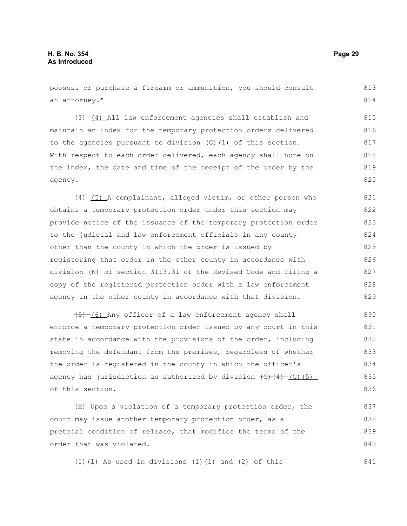possess or purchase a firearm or ammunition, you should consult an attorney." 813 814

 $(3)$  (4) All law enforcement agencies shall establish and maintain an index for the temporary protection orders delivered to the agencies pursuant to division (G)(1) of this section. With respect to each order delivered, each agency shall note on the index, the date and time of the receipt of the order by the agency. 815 816 817 818 819 820

 $(4)$  (5) A complainant, alleged victim, or other person who obtains a temporary protection order under this section may provide notice of the issuance of the temporary protection order to the judicial and law enforcement officials in any county other than the county in which the order is issued by registering that order in the other county in accordance with division (N) of section 3113.31 of the Revised Code and filing a copy of the registered protection order with a law enforcement agency in the other county in accordance with that division. 821 822 823 824 825 826 827 828 829

(5) (6) Any officer of a law enforcement agency shall enforce a temporary protection order issued by any court in this state in accordance with the provisions of the order, including removing the defendant from the premises, regardless of whether the order is registered in the county in which the officer's agency has jurisdiction as authorized by division  $\left(\frac{G}{4}\right) \left(\frac{4}{9}\right)$  (5) of this section. 830 831 832 833 834 835 836

(H) Upon a violation of a temporary protection order, the court may issue another temporary protection order, as a pretrial condition of release, that modifies the terms of the order that was violated. 837 838 839 840

(I)(1) As used in divisions (I)(1) and (2) of this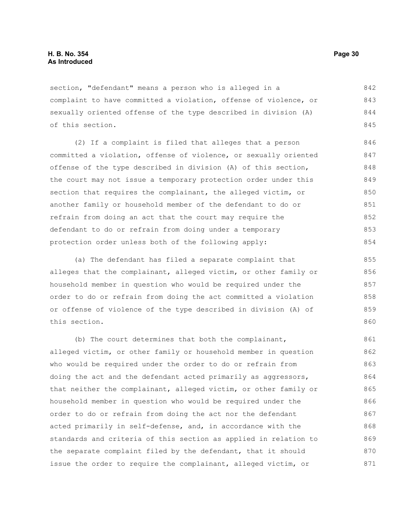section, "defendant" means a person who is alleged in a complaint to have committed a violation, offense of violence, or sexually oriented offense of the type described in division (A) of this section. 842 843 844 845

(2) If a complaint is filed that alleges that a person committed a violation, offense of violence, or sexually oriented offense of the type described in division (A) of this section, the court may not issue a temporary protection order under this section that requires the complainant, the alleged victim, or another family or household member of the defendant to do or refrain from doing an act that the court may require the defendant to do or refrain from doing under a temporary protection order unless both of the following apply: 846 847 848 849 850 851 852 853 854

(a) The defendant has filed a separate complaint that alleges that the complainant, alleged victim, or other family or household member in question who would be required under the order to do or refrain from doing the act committed a violation or offense of violence of the type described in division (A) of this section.

(b) The court determines that both the complainant, alleged victim, or other family or household member in question who would be required under the order to do or refrain from doing the act and the defendant acted primarily as aggressors, that neither the complainant, alleged victim, or other family or household member in question who would be required under the order to do or refrain from doing the act nor the defendant acted primarily in self-defense, and, in accordance with the standards and criteria of this section as applied in relation to the separate complaint filed by the defendant, that it should issue the order to require the complainant, alleged victim, or 861 862 863 864 865 866 867 868 869 870 871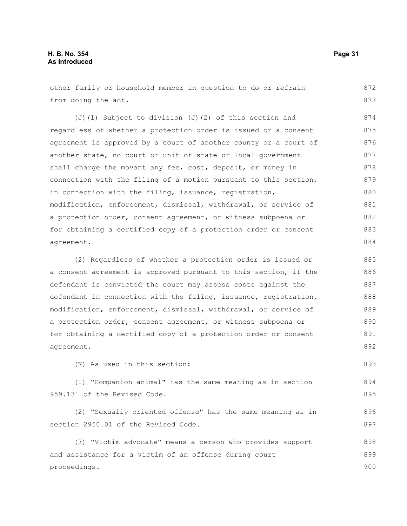#### **H. B. No. 354 Page 31 As Introduced**

other family or household member in question to do or refrain from doing the act. 872 873

(J)(1) Subject to division (J)(2) of this section and regardless of whether a protection order is issued or a consent agreement is approved by a court of another county or a court of another state, no court or unit of state or local government shall charge the movant any fee, cost, deposit, or money in connection with the filing of a motion pursuant to this section, in connection with the filing, issuance, registration, modification, enforcement, dismissal, withdrawal, or service of a protection order, consent agreement, or witness subpoena or for obtaining a certified copy of a protection order or consent agreement. 874 875 876 877 878 879 880 881 882 883 884

(2) Regardless of whether a protection order is issued or a consent agreement is approved pursuant to this section, if the defendant is convicted the court may assess costs against the defendant in connection with the filing, issuance, registration, modification, enforcement, dismissal, withdrawal, or service of a protection order, consent agreement, or witness subpoena or for obtaining a certified copy of a protection order or consent agreement. 885 886 887 888 889 890 891 892

(K) As used in this section:

(1) "Companion animal" has the same meaning as in section 959.131 of the Revised Code. 894 895

(2) "Sexually oriented offense" has the same meaning as in section 2950.01 of the Revised Code. 896 897

(3) "Victim advocate" means a person who provides support and assistance for a victim of an offense during court proceedings. 898 899 900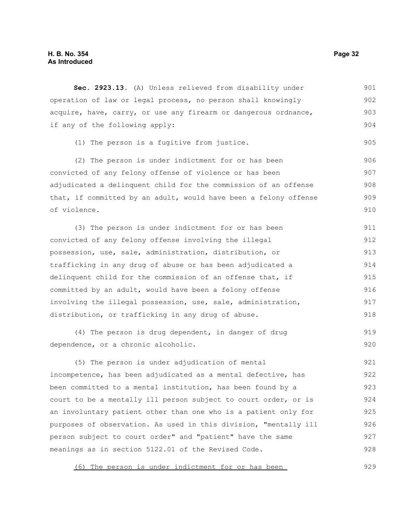**Sec. 2923.13.** (A) Unless relieved from disability under operation of law or legal process, no person shall knowingly acquire, have, carry, or use any firearm or dangerous ordnance, if any of the following apply: 901 902 903 904

(1) The person is a fugitive from justice. 905

(2) The person is under indictment for or has been convicted of any felony offense of violence or has been adjudicated a delinquent child for the commission of an offense that, if committed by an adult, would have been a felony offense of violence. 906 907 908 909 910

(3) The person is under indictment for or has been convicted of any felony offense involving the illegal possession, use, sale, administration, distribution, or trafficking in any drug of abuse or has been adjudicated a delinquent child for the commission of an offense that, if committed by an adult, would have been a felony offense involving the illegal possession, use, sale, administration, distribution, or trafficking in any drug of abuse. 911 912 913 914 915 916 917 918

(4) The person is drug dependent, in danger of drug dependence, or a chronic alcoholic. 919 920

(5) The person is under adjudication of mental incompetence, has been adjudicated as a mental defective, has been committed to a mental institution, has been found by a court to be a mentally ill person subject to court order, or is an involuntary patient other than one who is a patient only for purposes of observation. As used in this division, "mentally ill person subject to court order" and "patient" have the same meanings as in section 5122.01 of the Revised Code. 921 922 923 924 925 926 927 928

 (6) The person is under indictment for or has been 929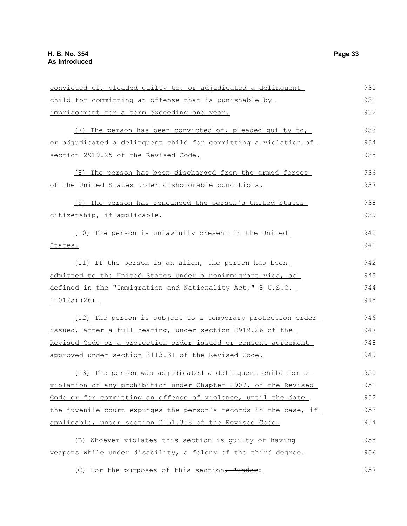| convicted of, pleaded quilty to, or adjudicated a delinquent     | 930 |  |  |
|------------------------------------------------------------------|-----|--|--|
| child for committing an offense that is punishable by            | 931 |  |  |
| imprisonment for a term exceeding one year.                      | 932 |  |  |
| (7) The person has been convicted of, pleaded quilty to,         | 933 |  |  |
| or adjudicated a delinquent child for committing a violation of  | 934 |  |  |
| section 2919.25 of the Revised Code.                             | 935 |  |  |
| (8) The person has been discharged from the armed forces         | 936 |  |  |
| of the United States under dishonorable conditions.              | 937 |  |  |
| (9) The person has renounced the person's United States          | 938 |  |  |
| citizenship, if applicable.                                      | 939 |  |  |
| (10) The person is unlawfully present in the United              | 940 |  |  |
| States.                                                          | 941 |  |  |
| (11) If the person is an alien, the person has been              | 942 |  |  |
| admitted to the United States under a nonimmigrant visa, as      | 943 |  |  |
| defined in the "Immigration and Nationality Act," 8 U.S.C.       |     |  |  |
| <u>1101 (a) (26).</u>                                            | 945 |  |  |
| (12) The person is subject to a temporary protection order       | 946 |  |  |
| issued, after a full hearing, under section 2919.26 of the       | 947 |  |  |
| Revised Code or a protection order issued or consent agreement   | 948 |  |  |
| approved under section 3113.31 of the Revised Code.              | 949 |  |  |
| (13) The person was adjudicated a delinguent child for a         | 950 |  |  |
| violation of any prohibition under Chapter 2907. of the Revised  | 951 |  |  |
| Code or for committing an offense of violence, until the date    | 952 |  |  |
| the juvenile court expunges the person's records in the case, if | 953 |  |  |
| applicable, under section 2151.358 of the Revised Code.          | 954 |  |  |
| (B) Whoever violates this section is guilty of having            | 955 |  |  |
| weapons while under disability, a felony of the third degree.    | 956 |  |  |
| (C) For the purposes of this section, "under:                    | 957 |  |  |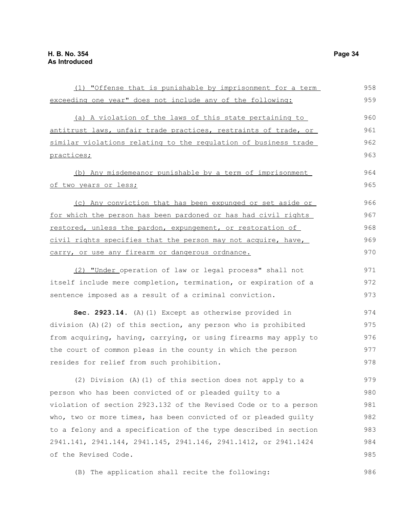| (1) "Offense that is punishable by imprisonment for a term       | 958 |
|------------------------------------------------------------------|-----|
| exceeding one year" does not include any of the following:       | 959 |
| (a) A violation of the laws of this state pertaining to          | 960 |
| antitrust laws, unfair trade practices, restraints of trade, or  | 961 |
| similar violations relating to the regulation of business trade  | 962 |
| practices;                                                       | 963 |
| (b) Any misdemeanor punishable by a term of imprisonment         | 964 |
| of two years or less;                                            | 965 |
| (c) Any conviction that has been expunged or set aside or        | 966 |
| for which the person has been pardoned or has had civil rights   | 967 |
| restored, unless the pardon, expungement, or restoration of      | 968 |
| civil rights specifies that the person may not acquire, have,    | 969 |
| carry, or use any firearm or dangerous ordnance.                 | 970 |
| (2) "Under operation of law or legal process" shall not          | 971 |
| itself include mere completion, termination, or expiration of a  | 972 |
| sentence imposed as a result of a criminal conviction.           | 973 |
| Sec. 2923.14. (A) (1) Except as otherwise provided in            | 974 |
| division (A)(2) of this section, any person who is prohibited    | 975 |
| from acquiring, having, carrying, or using firearms may apply to | 976 |
| the court of common pleas in the county in which the person      | 977 |
| resides for relief from such prohibition.                        | 978 |
| (2) Division (A) (1) of this section does not apply to a         | 979 |
| person who has been convicted of or pleaded guilty to a          | 980 |
| violation of section 2923.132 of the Revised Code or to a person | 981 |
| who, two or more times, has been convicted of or pleaded quilty  | 982 |
| to a felony and a specification of the type described in section | 983 |
| 2941.141, 2941.144, 2941.145, 2941.146, 2941.1412, or 2941.1424  | 984 |
| of the Revised Code.                                             | 985 |
| (B) The application shall recite the following:                  | 986 |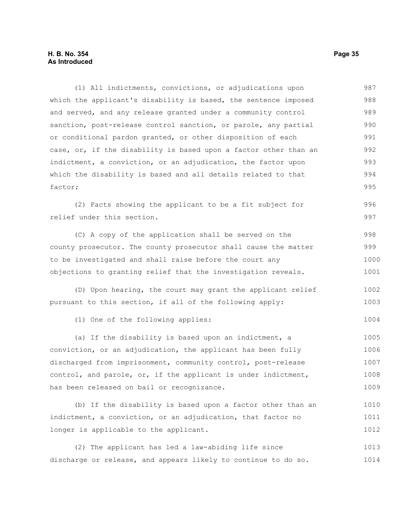#### **H. B. No. 354 Page 35 As Introduced**

(1) All indictments, convictions, or adjudications upon which the applicant's disability is based, the sentence imposed and served, and any release granted under a community control sanction, post-release control sanction, or parole, any partial or conditional pardon granted, or other disposition of each case, or, if the disability is based upon a factor other than an indictment, a conviction, or an adjudication, the factor upon which the disability is based and all details related to that factor; 987 988 989 990 991 992 993 994 995

(2) Facts showing the applicant to be a fit subject for relief under this section.

(C) A copy of the application shall be served on the county prosecutor. The county prosecutor shall cause the matter to be investigated and shall raise before the court any objections to granting relief that the investigation reveals. 998 999 1000 1001

(D) Upon hearing, the court may grant the applicant relief pursuant to this section, if all of the following apply: 1002 1003

(1) One of the following applies:

(a) If the disability is based upon an indictment, a conviction, or an adjudication, the applicant has been fully discharged from imprisonment, community control, post-release control, and parole, or, if the applicant is under indictment, has been released on bail or recognizance. 1005 1006 1007 1008 1009

(b) If the disability is based upon a factor other than an indictment, a conviction, or an adjudication, that factor no longer is applicable to the applicant. 1010 1011 1012

(2) The applicant has led a law-abiding life since discharge or release, and appears likely to continue to do so. 1013 1014

996 997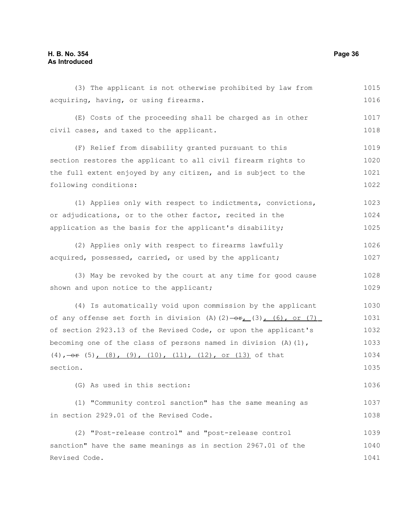### **H. B. No. 354 Page 36 As Introduced**

| (3) The applicant is not otherwise prohibited by law from                          | 1015 |
|------------------------------------------------------------------------------------|------|
| acquiring, having, or using firearms.                                              | 1016 |
| (E) Costs of the proceeding shall be charged as in other                           | 1017 |
| civil cases, and taxed to the applicant.                                           | 1018 |
| (F) Relief from disability granted pursuant to this                                | 1019 |
| section restores the applicant to all civil firearm rights to                      | 1020 |
| the full extent enjoyed by any citizen, and is subject to the                      | 1021 |
| following conditions:                                                              | 1022 |
| (1) Applies only with respect to indictments, convictions,                         | 1023 |
| or adjudications, or to the other factor, recited in the                           | 1024 |
| application as the basis for the applicant's disability;                           | 1025 |
| (2) Applies only with respect to firearms lawfully                                 | 1026 |
| acquired, possessed, carried, or used by the applicant;                            | 1027 |
| (3) May be revoked by the court at any time for good cause                         | 1028 |
| shown and upon notice to the applicant;                                            | 1029 |
| (4) Is automatically void upon commission by the applicant                         | 1030 |
| of any offense set forth in division (A)(2) $-\sigma_{r}$ (3), (6), or (7)         | 1031 |
| of section 2923.13 of the Revised Code, or upon the applicant's                    | 1032 |
| becoming one of the class of persons named in division $(A)$ (1),                  | 1033 |
| $(4)$ , $-6f$ $(5)$ , $(8)$ , $(9)$ , $(10)$ , $(11)$ , $(12)$ , or $(13)$ of that | 1034 |
| section.                                                                           | 1035 |
| (G) As used in this section:                                                       | 1036 |
| (1) "Community control sanction" has the same meaning as                           | 1037 |
| in section 2929.01 of the Revised Code.                                            | 1038 |
| (2) "Post-release control" and "post-release control                               | 1039 |
| sanction" have the same meanings as in section 2967.01 of the                      | 1040 |
| Revised Code.                                                                      | 1041 |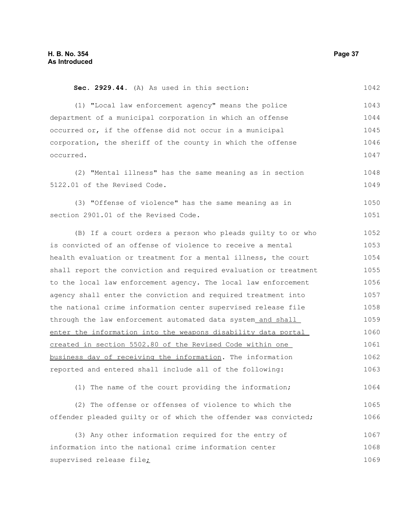1042

# **Sec. 2929.44.** (A) As used in this section:

(1) "Local law enforcement agency" means the police department of a municipal corporation in which an offense occurred or, if the offense did not occur in a municipal corporation, the sheriff of the county in which the offense occurred. 1043 1044 1045 1046 1047

(2) "Mental illness" has the same meaning as in section 5122.01 of the Revised Code. 1048 1049

(3) "Offense of violence" has the same meaning as in section 2901.01 of the Revised Code. 1050 1051

(B) If a court orders a person who pleads guilty to or who is convicted of an offense of violence to receive a mental health evaluation or treatment for a mental illness, the court shall report the conviction and required evaluation or treatment to the local law enforcement agency. The local law enforcement agency shall enter the conviction and required treatment into the national crime information center supervised release file through the law enforcement automated data system and shall enter the information into the weapons disability data portal created in section 5502.80 of the Revised Code within one business day of receiving the information. The information reported and entered shall include all of the following: 1052 1053 1054 1055 1056 1057 1058 1059 1060 1061 1062 1063

(1) The name of the court providing the information; 1064

(2) The offense or offenses of violence to which the offender pleaded guilty or of which the offender was convicted; 1065 1066

(3) Any other information required for the entry of information into the national crime information center supervised release file; 1067 1068 1069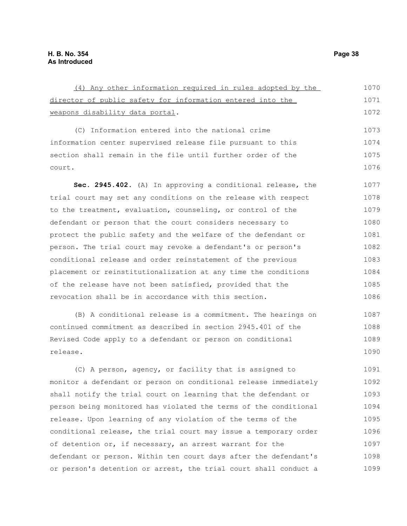| director of public safety for information entered into the       | 1071 |
|------------------------------------------------------------------|------|
| <u>weapons disability data portal</u> .                          | 1072 |
| (C) Information entered into the national crime                  | 1073 |
| information center supervised release file pursuant to this      | 1074 |
| section shall remain in the file until further order of the      | 1075 |
| court.                                                           | 1076 |
| Sec. 2945.402. (A) In approving a conditional release, the       | 1077 |
| trial court may set any conditions on the release with respect   | 1078 |
| to the treatment, evaluation, counseling, or control of the      | 1079 |
| defendant or person that the court considers necessary to        | 1080 |
| protect the public safety and the welfare of the defendant or    | 1081 |
| person. The trial court may revoke a defendant's or person's     | 1082 |
| conditional release and order reinstatement of the previous      | 1083 |
| placement or reinstitutionalization at any time the conditions   | 1084 |
| of the release have not been satisfied, provided that the        | 1085 |
| revocation shall be in accordance with this section.             | 1086 |
| (B) A conditional release is a commitment. The hearings on       | 1087 |
| continued commitment as described in section 2945.401 of the     | 1088 |
| Revised Code apply to a defendant or person on conditional       | 1089 |
| release.                                                         | 1090 |
| (C) A person, agency, or facility that is assigned to            | 1091 |
| monitor a defendant or person on conditional release immediately | 1092 |
| shall notify the trial court on learning that the defendant or   | 1093 |
| person being monitored has violated the terms of the conditional | 1094 |
| release. Upon learning of any violation of the terms of the      | 1095 |
| conditional release, the trial court may issue a temporary order | 1096 |
| of detention or, if necessary, an arrest warrant for the         | 1097 |
| defendant or person. Within ten court days after the defendant's | 1098 |

or person's detention or arrest, the trial court shall conduct a

(4) Any other information required in rules adopted by the

1070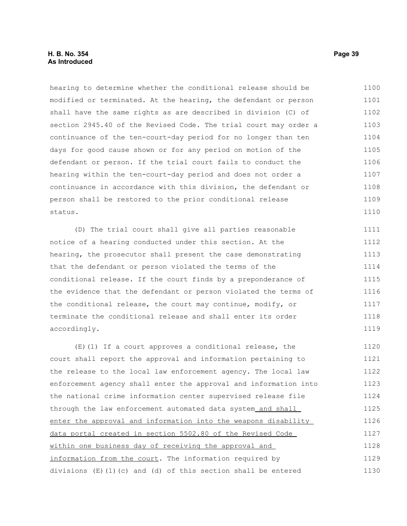# **H. B. No. 354 Page 39 As Introduced**

hearing to determine whether the conditional release should be modified or terminated. At the hearing, the defendant or person shall have the same rights as are described in division (C) of section 2945.40 of the Revised Code. The trial court may order a continuance of the ten-court-day period for no longer than ten days for good cause shown or for any period on motion of the defendant or person. If the trial court fails to conduct the hearing within the ten-court-day period and does not order a continuance in accordance with this division, the defendant or person shall be restored to the prior conditional release status. 1100 1101 1102 1103 1104 1105 1106 1107 1108 1109 1110

(D) The trial court shall give all parties reasonable notice of a hearing conducted under this section. At the hearing, the prosecutor shall present the case demonstrating that the defendant or person violated the terms of the conditional release. If the court finds by a preponderance of the evidence that the defendant or person violated the terms of the conditional release, the court may continue, modify, or terminate the conditional release and shall enter its order accordingly. 1111 1112 1113 1114 1115 1116 1117 1118 1119

(E)(1) If a court approves a conditional release, the court shall report the approval and information pertaining to the release to the local law enforcement agency. The local law enforcement agency shall enter the approval and information into the national crime information center supervised release file through the law enforcement automated data system\_and shall\_ enter the approval and information into the weapons disability data portal created in section 5502.80 of the Revised Code within one business day of receiving the approval and information from the court. The information required by divisions  $(E)$  (1)(c) and (d) of this section shall be entered 1120 1121 1122 1123 1124 1125 1126 1127 1128 1129 1130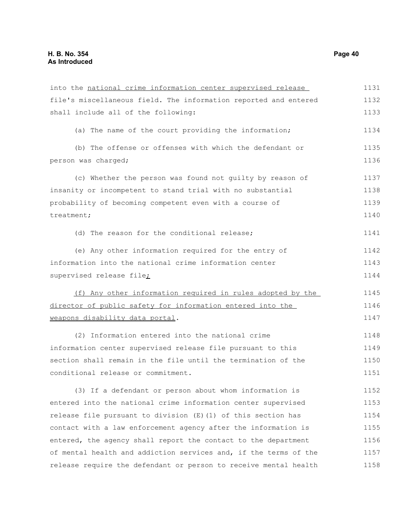| file's miscellaneous field. The information reported and entered | 1132 |
|------------------------------------------------------------------|------|
| shall include all of the following:                              | 1133 |
| (a) The name of the court providing the information;             | 1134 |
| (b) The offense or offenses with which the defendant or          | 1135 |
| person was charged;                                              | 1136 |
| (c) Whether the person was found not quilty by reason of         | 1137 |
| insanity or incompetent to stand trial with no substantial       | 1138 |
| probability of becoming competent even with a course of          | 1139 |
| treatment;                                                       | 1140 |
| (d) The reason for the conditional release;                      | 1141 |
| (e) Any other information required for the entry of              | 1142 |
| information into the national crime information center           | 1143 |
| supervised release file;                                         | 1144 |
| (f) Any other information required in rules adopted by the       | 1145 |
| director of public safety for information entered into the       | 1146 |
| <u>weapons disability data portal</u> .                          | 1147 |
| (2) Information entered into the national crime                  | 1148 |
| information center supervised release file pursuant to this      | 1149 |
| section shall remain in the file until the termination of the    | 1150 |
| conditional release or commitment.                               | 1151 |
| (3) If a defendant or person about whom information is           | 1152 |
| entered into the national crime information center supervised    | 1153 |
| release file pursuant to division (E) (1) of this section has    | 1154 |
| contact with a law enforcement agency after the information is   | 1155 |
| entered, the agency shall report the contact to the department   | 1156 |
| of mental health and addiction services and, if the terms of the | 1157 |
| release require the defendant or person to receive mental health | 1158 |

into the national crime information center supervised release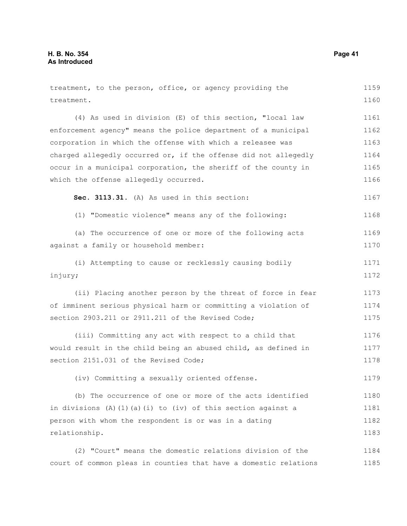treatment, to the person, office, or agency providing the treatment. (4) As used in division (E) of this section, "local law enforcement agency" means the police department of a municipal corporation in which the offense with which a releasee was charged allegedly occurred or, if the offense did not allegedly occur in a municipal corporation, the sheriff of the county in which the offense allegedly occurred. **Sec. 3113.31.** (A) As used in this section: (1) "Domestic violence" means any of the following: (a) The occurrence of one or more of the following acts against a family or household member: (i) Attempting to cause or recklessly causing bodily injury; (ii) Placing another person by the threat of force in fear of imminent serious physical harm or committing a violation of section 2903.211 or 2911.211 of the Revised Code: (iii) Committing any act with respect to a child that would result in the child being an abused child, as defined in section 2151.031 of the Revised Code; (iv) Committing a sexually oriented offense. (b) The occurrence of one or more of the acts identified in divisions (A)(1)(a)(i) to (iv) of this section against a person with whom the respondent is or was in a dating relationship. (2) "Court" means the domestic relations division of the court of common pleas in counties that have a domestic relations 1159 1160 1161 1162 1163 1164 1165 1166 1167 1168 1169 1170 1171 1172 1173 1174 1175 1176 1177 1178 1179 1180 1181 1182 1183 1184 1185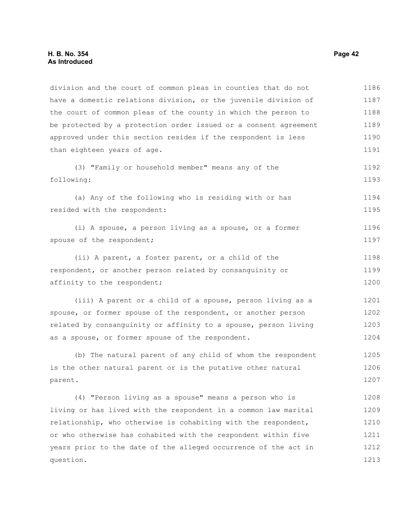division and the court of common pleas in counties that do not have a domestic relations division, or the juvenile division of the court of common pleas of the county in which the person to be protected by a protection order issued or a consent agreement approved under this section resides if the respondent is less than eighteen years of age. 1186 1187 1188 1189 1190 1191

(3) "Family or household member" means any of the following:

(a) Any of the following who is residing with or has resided with the respondent:

(i) A spouse, a person living as a spouse, or a former spouse of the respondent;

(ii) A parent, a foster parent, or a child of the respondent, or another person related by consanguinity or affinity to the respondent; 1198 1199 1200

(iii) A parent or a child of a spouse, person living as a spouse, or former spouse of the respondent, or another person related by consanguinity or affinity to a spouse, person living as a spouse, or former spouse of the respondent. 1201 1202 1203 1204

(b) The natural parent of any child of whom the respondent is the other natural parent or is the putative other natural parent. 1205 1206 1207

(4) "Person living as a spouse" means a person who is living or has lived with the respondent in a common law marital relationship, who otherwise is cohabiting with the respondent, or who otherwise has cohabited with the respondent within five years prior to the date of the alleged occurrence of the act in question. 1208 1209 1210 1211 1212 1213

1192 1193

1194 1195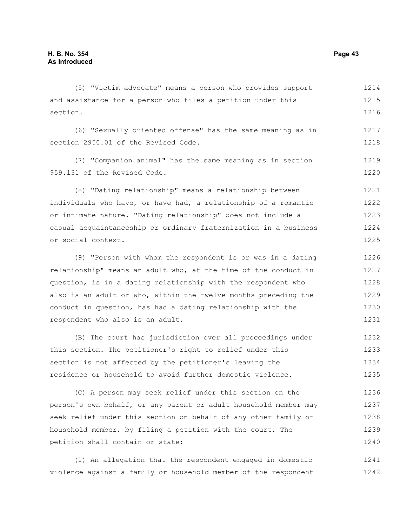section.

(5) "Victim advocate" means a person who provides support and assistance for a person who files a petition under this

(6) "Sexually oriented offense" has the same meaning as in section 2950.01 of the Revised Code. 1217 1218

(7) "Companion animal" has the same meaning as in section 959.131 of the Revised Code. 1219 1220

(8) "Dating relationship" means a relationship between individuals who have, or have had, a relationship of a romantic or intimate nature. "Dating relationship" does not include a casual acquaintanceship or ordinary fraternization in a business or social context. 1221 1222 1223 1224 1225

(9) "Person with whom the respondent is or was in a dating relationship" means an adult who, at the time of the conduct in question, is in a dating relationship with the respondent who also is an adult or who, within the twelve months preceding the conduct in question, has had a dating relationship with the respondent who also is an adult. 1226 1227 1228 1229 1230 1231

(B) The court has jurisdiction over all proceedings under this section. The petitioner's right to relief under this section is not affected by the petitioner's leaving the residence or household to avoid further domestic violence. 1232 1233 1234 1235

(C) A person may seek relief under this section on the person's own behalf, or any parent or adult household member may seek relief under this section on behalf of any other family or household member, by filing a petition with the court. The petition shall contain or state: 1236 1237 1238 1239 1240

(1) An allegation that the respondent engaged in domestic violence against a family or household member of the respondent 1241 1242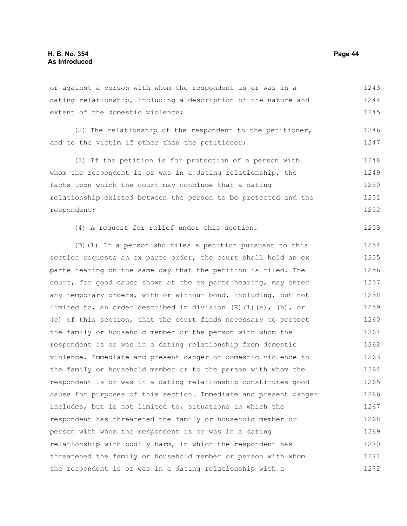1253

or against a person with whom the respondent is or was in a dating relationship, including a description of the nature and extent of the domestic violence; 1243 1244 1245

(2) The relationship of the respondent to the petitioner, and to the victim if other than the petitioner; 1246 1247

(3) If the petition is for protection of a person with whom the respondent is or was in a dating relationship, the facts upon which the court may conclude that a dating relationship existed between the person to be protected and the respondent; 1248 1249 1250 1251 1252

(4) A request for relief under this section.

(D)(1) If a person who files a petition pursuant to this section requests an ex parte order, the court shall hold an ex parte hearing on the same day that the petition is filed. The court, for good cause shown at the ex parte hearing, may enter any temporary orders, with or without bond, including, but not limited to, an order described in division  $(E)(1)(a)$ ,  $(b)$ , or (c) of this section, that the court finds necessary to protect the family or household member or the person with whom the respondent is or was in a dating relationship from domestic violence. Immediate and present danger of domestic violence to the family or household member or to the person with whom the respondent is or was in a dating relationship constitutes good cause for purposes of this section. Immediate and present danger includes, but is not limited to, situations in which the respondent has threatened the family or household member or person with whom the respondent is or was in a dating relationship with bodily harm, in which the respondent has threatened the family or household member or person with whom the respondent is or was in a dating relationship with a 1254 1255 1256 1257 1258 1259 1260 1261 1262 1263 1264 1265 1266 1267 1268 1269 1270 1271 1272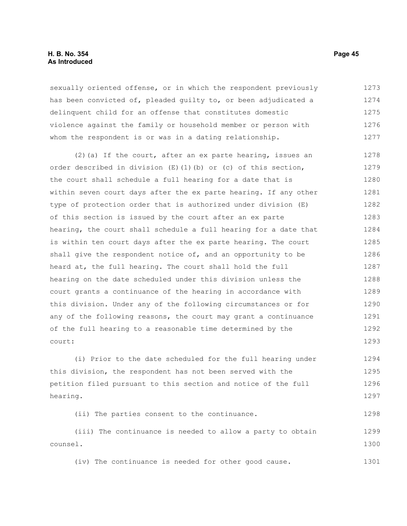## **H. B. No. 354 Page 45 As Introduced**

sexually oriented offense, or in which the respondent previously has been convicted of, pleaded guilty to, or been adjudicated a delinquent child for an offense that constitutes domestic violence against the family or household member or person with whom the respondent is or was in a dating relationship. 1273 1274 1275 1276 1277

(2)(a) If the court, after an ex parte hearing, issues an order described in division  $(E)$  (1)(b) or (c) of this section, the court shall schedule a full hearing for a date that is within seven court days after the ex parte hearing. If any other type of protection order that is authorized under division (E) of this section is issued by the court after an ex parte hearing, the court shall schedule a full hearing for a date that is within ten court days after the ex parte hearing. The court shall give the respondent notice of, and an opportunity to be heard at, the full hearing. The court shall hold the full hearing on the date scheduled under this division unless the court grants a continuance of the hearing in accordance with this division. Under any of the following circumstances or for any of the following reasons, the court may grant a continuance of the full hearing to a reasonable time determined by the court: 1278 1279 1280 1281 1282 1283 1284 1285 1286 1287 1288 1289 1290 1291 1292 1293

(i) Prior to the date scheduled for the full hearing under this division, the respondent has not been served with the petition filed pursuant to this section and notice of the full hearing. 1294 1295 1296 1297

(ii) The parties consent to the continuance. 1298

(iii) The continuance is needed to allow a party to obtain counsel. 1299 1300

(iv) The continuance is needed for other good cause. 1301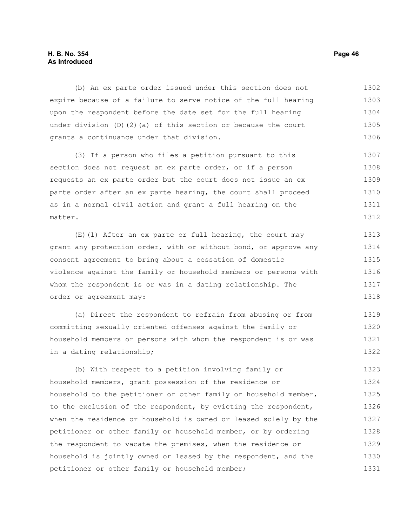## **H. B. No. 354 Page 46 As Introduced**

(b) An ex parte order issued under this section does not expire because of a failure to serve notice of the full hearing upon the respondent before the date set for the full hearing under division  $(D)(2)(a)$  of this section or because the court grants a continuance under that division. 1302 1303 1304 1305 1306

(3) If a person who files a petition pursuant to this section does not request an ex parte order, or if a person requests an ex parte order but the court does not issue an ex parte order after an ex parte hearing, the court shall proceed as in a normal civil action and grant a full hearing on the matter. 1307 1308 1309 1310 1311 1312

(E)(1) After an ex parte or full hearing, the court may grant any protection order, with or without bond, or approve any consent agreement to bring about a cessation of domestic violence against the family or household members or persons with whom the respondent is or was in a dating relationship. The order or agreement may: 1313 1314 1315 1316 1317 1318

(a) Direct the respondent to refrain from abusing or from committing sexually oriented offenses against the family or household members or persons with whom the respondent is or was in a dating relationship; 1319 1320 1321 1322

(b) With respect to a petition involving family or household members, grant possession of the residence or household to the petitioner or other family or household member, to the exclusion of the respondent, by evicting the respondent, when the residence or household is owned or leased solely by the petitioner or other family or household member, or by ordering the respondent to vacate the premises, when the residence or household is jointly owned or leased by the respondent, and the petitioner or other family or household member; 1323 1324 1325 1326 1327 1328 1329 1330 1331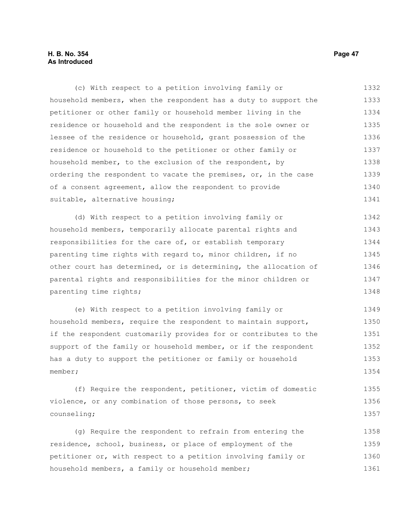# **H. B. No. 354 Page 47 As Introduced**

(c) With respect to a petition involving family or household members, when the respondent has a duty to support the petitioner or other family or household member living in the residence or household and the respondent is the sole owner or lessee of the residence or household, grant possession of the residence or household to the petitioner or other family or household member, to the exclusion of the respondent, by ordering the respondent to vacate the premises, or, in the case of a consent agreement, allow the respondent to provide suitable, alternative housing; 1332 1333 1334 1335 1336 1337 1338 1339 1340 1341

(d) With respect to a petition involving family or household members, temporarily allocate parental rights and responsibilities for the care of, or establish temporary parenting time rights with regard to, minor children, if no other court has determined, or is determining, the allocation of parental rights and responsibilities for the minor children or parenting time rights; 1342 1343 1344 1345 1346 1347 1348

(e) With respect to a petition involving family or household members, require the respondent to maintain support, if the respondent customarily provides for or contributes to the support of the family or household member, or if the respondent has a duty to support the petitioner or family or household member; 1349 1350 1351 1352 1353 1354

(f) Require the respondent, petitioner, victim of domestic violence, or any combination of those persons, to seek counseling; 1355 1356 1357

(g) Require the respondent to refrain from entering the residence, school, business, or place of employment of the petitioner or, with respect to a petition involving family or household members, a family or household member; 1358 1359 1360 1361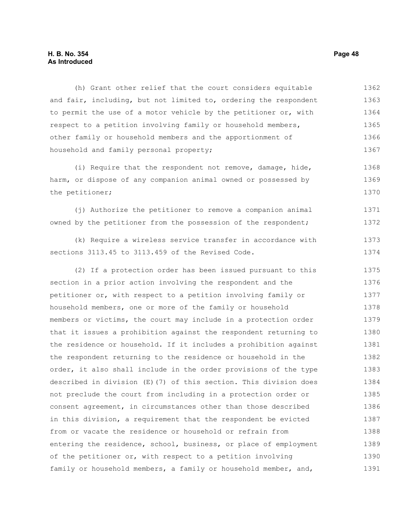# **H. B. No. 354 Page 48 As Introduced**

(h) Grant other relief that the court considers equitable and fair, including, but not limited to, ordering the respondent to permit the use of a motor vehicle by the petitioner or, with respect to a petition involving family or household members, other family or household members and the apportionment of household and family personal property; 1362 1363 1364 1365 1366 1367

(i) Require that the respondent not remove, damage, hide, harm, or dispose of any companion animal owned or possessed by the petitioner; 1368 1369 1370

(j) Authorize the petitioner to remove a companion animal owned by the petitioner from the possession of the respondent; 1371 1372

(k) Require a wireless service transfer in accordance with sections 3113.45 to 3113.459 of the Revised Code. 1373 1374

(2) If a protection order has been issued pursuant to this section in a prior action involving the respondent and the petitioner or, with respect to a petition involving family or household members, one or more of the family or household members or victims, the court may include in a protection order that it issues a prohibition against the respondent returning to the residence or household. If it includes a prohibition against the respondent returning to the residence or household in the order, it also shall include in the order provisions of the type described in division (E)(7) of this section. This division does not preclude the court from including in a protection order or consent agreement, in circumstances other than those described in this division, a requirement that the respondent be evicted from or vacate the residence or household or refrain from entering the residence, school, business, or place of employment of the petitioner or, with respect to a petition involving family or household members, a family or household member, and, 1375 1376 1377 1378 1379 1380 1381 1382 1383 1384 1385 1386 1387 1388 1389 1390 1391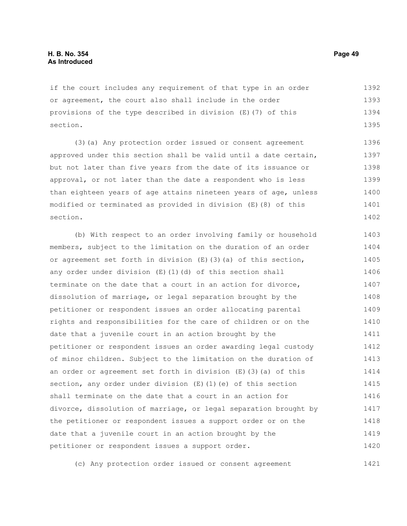if the court includes any requirement of that type in an order or agreement, the court also shall include in the order provisions of the type described in division (E)(7) of this section. 1392 1393 1394 1395

(3)(a) Any protection order issued or consent agreement approved under this section shall be valid until a date certain, but not later than five years from the date of its issuance or approval, or not later than the date a respondent who is less than eighteen years of age attains nineteen years of age, unless modified or terminated as provided in division (E)(8) of this section. 1396 1397 1398 1399 1400 1401 1402

(b) With respect to an order involving family or household members, subject to the limitation on the duration of an order or agreement set forth in division  $(E)$  (3)(a) of this section, any order under division (E)(1)(d) of this section shall terminate on the date that a court in an action for divorce, dissolution of marriage, or legal separation brought by the petitioner or respondent issues an order allocating parental rights and responsibilities for the care of children or on the date that a juvenile court in an action brought by the petitioner or respondent issues an order awarding legal custody of minor children. Subject to the limitation on the duration of an order or agreement set forth in division (E)(3)(a) of this section, any order under division (E)(1)(e) of this section shall terminate on the date that a court in an action for divorce, dissolution of marriage, or legal separation brought by the petitioner or respondent issues a support order or on the date that a juvenile court in an action brought by the petitioner or respondent issues a support order. 1403 1404 1405 1406 1407 1408 1409 1410 1411 1412 1413 1414 1415 1416 1417 1418 1419 1420

(c) Any protection order issued or consent agreement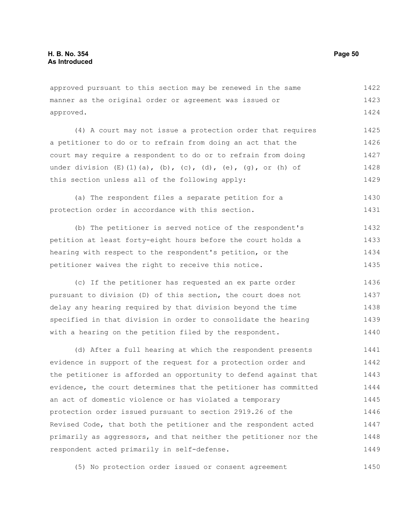approved pursuant to this section may be renewed in the same manner as the original order or agreement was issued or approved. 1422 1423 1424

(4) A court may not issue a protection order that requires a petitioner to do or to refrain from doing an act that the court may require a respondent to do or to refrain from doing under division  $(E)(1)(a)$ ,  $(b)$ ,  $(c)$ ,  $(d)$ ,  $(e)$ ,  $(g)$ , or  $(h)$  of this section unless all of the following apply: 1425 1426 1427 1428 1429

(a) The respondent files a separate petition for a protection order in accordance with this section. 1430 1431

(b) The petitioner is served notice of the respondent's petition at least forty-eight hours before the court holds a hearing with respect to the respondent's petition, or the petitioner waives the right to receive this notice. 1432 1433 1434 1435

(c) If the petitioner has requested an ex parte order pursuant to division (D) of this section, the court does not delay any hearing required by that division beyond the time specified in that division in order to consolidate the hearing with a hearing on the petition filed by the respondent. 1436 1437 1438 1439 1440

(d) After a full hearing at which the respondent presents evidence in support of the request for a protection order and the petitioner is afforded an opportunity to defend against that evidence, the court determines that the petitioner has committed an act of domestic violence or has violated a temporary protection order issued pursuant to section 2919.26 of the Revised Code, that both the petitioner and the respondent acted primarily as aggressors, and that neither the petitioner nor the respondent acted primarily in self-defense. 1441 1442 1443 1444 1445 1446 1447 1448 1449

(5) No protection order issued or consent agreement 1450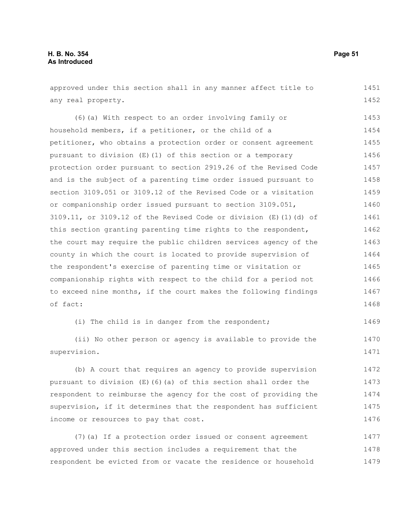approved under this section shall in any manner affect title to any real property. (6)(a) With respect to an order involving family or household members, if a petitioner, or the child of a petitioner, who obtains a protection order or consent agreement pursuant to division (E)(1) of this section or a temporary protection order pursuant to section 2919.26 of the Revised Code and is the subject of a parenting time order issued pursuant to section 3109.051 or 3109.12 of the Revised Code or a visitation or companionship order issued pursuant to section 3109.051,  $3109.11$ , or  $3109.12$  of the Revised Code or division (E)(1)(d) of this section granting parenting time rights to the respondent, the court may require the public children services agency of the county in which the court is located to provide supervision of the respondent's exercise of parenting time or visitation or companionship rights with respect to the child for a period not to exceed nine months, if the court makes the following findings of fact: 1451 1452 1453 1454 1455 1456 1457 1458 1459 1460 1461 1462 1463 1464 1465 1466 1467 1468

(i) The child is in danger from the respondent;

(ii) No other person or agency is available to provide the supervision. 1470 1471

(b) A court that requires an agency to provide supervision pursuant to division  $(E)$  (6)(a) of this section shall order the respondent to reimburse the agency for the cost of providing the supervision, if it determines that the respondent has sufficient income or resources to pay that cost. 1472 1473 1474 1475 1476

(7)(a) If a protection order issued or consent agreement approved under this section includes a requirement that the respondent be evicted from or vacate the residence or household 1477 1478 1479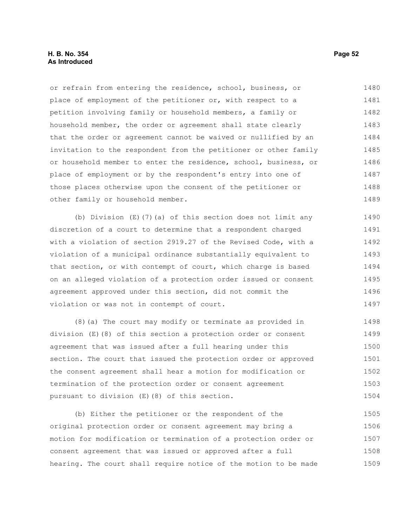# **H. B. No. 354 Page 52 As Introduced**

or refrain from entering the residence, school, business, or place of employment of the petitioner or, with respect to a petition involving family or household members, a family or household member, the order or agreement shall state clearly that the order or agreement cannot be waived or nullified by an invitation to the respondent from the petitioner or other family or household member to enter the residence, school, business, or place of employment or by the respondent's entry into one of those places otherwise upon the consent of the petitioner or other family or household member. 1480 1481 1482 1483 1484 1485 1486 1487 1488 1489

(b) Division (E)(7)(a) of this section does not limit any discretion of a court to determine that a respondent charged with a violation of section 2919.27 of the Revised Code, with a violation of a municipal ordinance substantially equivalent to that section, or with contempt of court, which charge is based on an alleged violation of a protection order issued or consent agreement approved under this section, did not commit the violation or was not in contempt of court. 1490 1491 1492 1493 1494 1495 1496 1497

(8)(a) The court may modify or terminate as provided in division (E)(8) of this section a protection order or consent agreement that was issued after a full hearing under this section. The court that issued the protection order or approved the consent agreement shall hear a motion for modification or termination of the protection order or consent agreement pursuant to division (E)(8) of this section. 1498 1499 1500 1501 1502 1503 1504

(b) Either the petitioner or the respondent of the original protection order or consent agreement may bring a motion for modification or termination of a protection order or consent agreement that was issued or approved after a full hearing. The court shall require notice of the motion to be made 1505 1506 1507 1508 1509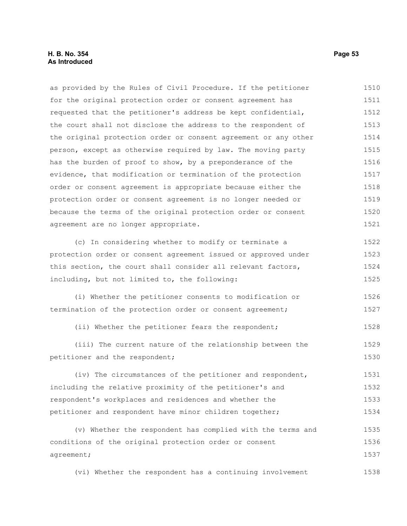# **H. B. No. 354 Page 53 As Introduced**

as provided by the Rules of Civil Procedure. If the petitioner for the original protection order or consent agreement has requested that the petitioner's address be kept confidential, the court shall not disclose the address to the respondent of the original protection order or consent agreement or any other person, except as otherwise required by law. The moving party has the burden of proof to show, by a preponderance of the evidence, that modification or termination of the protection order or consent agreement is appropriate because either the protection order or consent agreement is no longer needed or because the terms of the original protection order or consent agreement are no longer appropriate. (c) In considering whether to modify or terminate a protection order or consent agreement issued or approved under this section, the court shall consider all relevant factors, including, but not limited to, the following: (i) Whether the petitioner consents to modification or termination of the protection order or consent agreement; (ii) Whether the petitioner fears the respondent; (iii) The current nature of the relationship between the petitioner and the respondent; (iv) The circumstances of the petitioner and respondent, including the relative proximity of the petitioner's and respondent's workplaces and residences and whether the petitioner and respondent have minor children together; (v) Whether the respondent has complied with the terms and conditions of the original protection order or consent agreement; 1510 1511 1512 1513 1514 1515 1516 1517 1518 1519 1520 1521 1522 1523 1524 1525 1526 1527 1528 1529 1530 1531 1532 1533 1534 1535 1536 1537

(vi) Whether the respondent has a continuing involvement 1538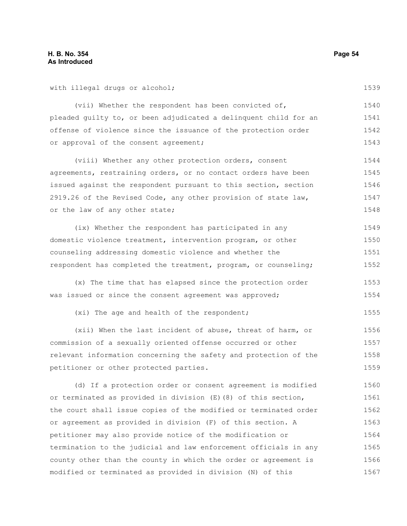with illegal drugs or alcohol;

1539

| (vii) Whether the respondent has been convicted of,              | 1540 |
|------------------------------------------------------------------|------|
| pleaded guilty to, or been adjudicated a delinquent child for an | 1541 |
| offense of violence since the issuance of the protection order   | 1542 |
| or approval of the consent agreement;                            | 1543 |

(vii) Whether the respondent has been convicted of,

(viii) Whether any other protection orders, consent agreements, restraining orders, or no contact orders have been issued against the respondent pursuant to this section, section 2919.26 of the Revised Code, any other provision of state law, or the law of any other state; 1544 1545 1546 1547 1548

(ix) Whether the respondent has participated in any domestic violence treatment, intervention program, or other counseling addressing domestic violence and whether the respondent has completed the treatment, program, or counseling; 1549 1550 1551 1552

(x) The time that has elapsed since the protection order was issued or since the consent agreement was approved; 1553 1554

```
(xi) The age and health of the respondent;
                                                          1555
```
(xii) When the last incident of abuse, threat of harm, or commission of a sexually oriented offense occurred or other relevant information concerning the safety and protection of the petitioner or other protected parties. 1556 1557 1558 1559

(d) If a protection order or consent agreement is modified or terminated as provided in division (E)(8) of this section, the court shall issue copies of the modified or terminated order or agreement as provided in division (F) of this section. A petitioner may also provide notice of the modification or termination to the judicial and law enforcement officials in any county other than the county in which the order or agreement is modified or terminated as provided in division (N) of this 1560 1561 1562 1563 1564 1565 1566 1567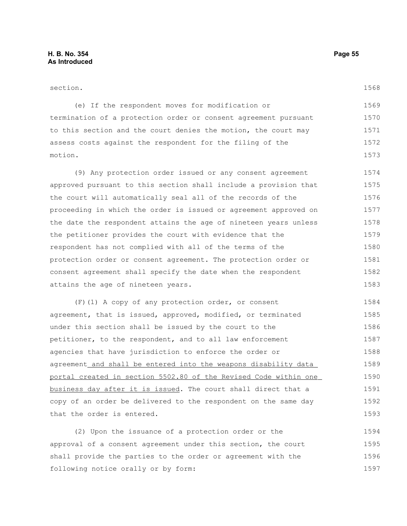#### section.

(e) If the respondent moves for modification or termination of a protection order or consent agreement pursuant to this section and the court denies the motion, the court may assess costs against the respondent for the filing of the motion. 1569 1570 1571 1572 1573

(9) Any protection order issued or any consent agreement approved pursuant to this section shall include a provision that the court will automatically seal all of the records of the proceeding in which the order is issued or agreement approved on the date the respondent attains the age of nineteen years unless the petitioner provides the court with evidence that the respondent has not complied with all of the terms of the protection order or consent agreement. The protection order or consent agreement shall specify the date when the respondent attains the age of nineteen years. 1574 1575 1576 1577 1578 1579 1580 1581 1582 1583

(F)(1) A copy of any protection order, or consent agreement, that is issued, approved, modified, or terminated under this section shall be issued by the court to the petitioner, to the respondent, and to all law enforcement agencies that have jurisdiction to enforce the order or agreement and shall be entered into the weapons disability data portal created in section 5502.80 of the Revised Code within one business day after it is issued. The court shall direct that a copy of an order be delivered to the respondent on the same day that the order is entered. 1584 1585 1586 1587 1588 1589 1590 1591 1592 1593

(2) Upon the issuance of a protection order or the approval of a consent agreement under this section, the court shall provide the parties to the order or agreement with the following notice orally or by form: 1594 1595 1596 1597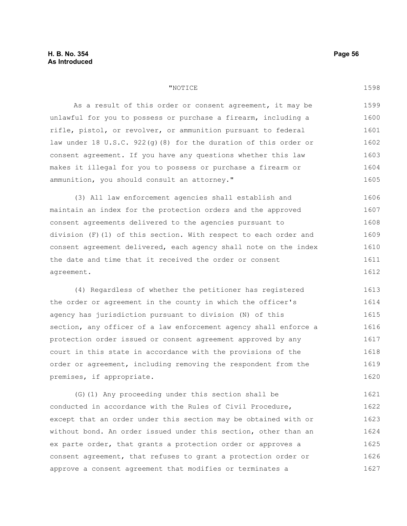## "NOTICE

As a result of this order or consent agreement, it may be unlawful for you to possess or purchase a firearm, including a rifle, pistol, or revolver, or ammunition pursuant to federal law under 18 U.S.C. 922(g)(8) for the duration of this order or consent agreement. If you have any questions whether this law makes it illegal for you to possess or purchase a firearm or ammunition, you should consult an attorney." 1599 1600 1601 1602 1603 1604 1605

(3) All law enforcement agencies shall establish and maintain an index for the protection orders and the approved consent agreements delivered to the agencies pursuant to division (F)(1) of this section. With respect to each order and consent agreement delivered, each agency shall note on the index the date and time that it received the order or consent agreement. 1606 1607 1608 1609 1610 1611 1612

(4) Regardless of whether the petitioner has registered the order or agreement in the county in which the officer's agency has jurisdiction pursuant to division (N) of this section, any officer of a law enforcement agency shall enforce a protection order issued or consent agreement approved by any court in this state in accordance with the provisions of the order or agreement, including removing the respondent from the premises, if appropriate. 1613 1614 1615 1616 1617 1618 1619 1620

(G)(1) Any proceeding under this section shall be conducted in accordance with the Rules of Civil Procedure, except that an order under this section may be obtained with or without bond. An order issued under this section, other than an ex parte order, that grants a protection order or approves a consent agreement, that refuses to grant a protection order or approve a consent agreement that modifies or terminates a 1621 1622 1623 1624 1625 1626 1627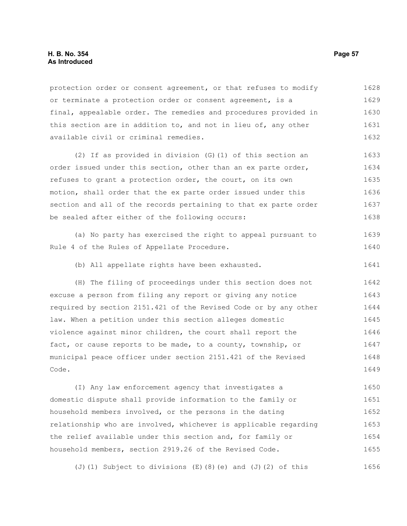#### **H. B. No. 354 Page 57 As Introduced**

protection order or consent agreement, or that refuses to modify or terminate a protection order or consent agreement, is a final, appealable order. The remedies and procedures provided in this section are in addition to, and not in lieu of, any other available civil or criminal remedies. 1628 1629 1630 1631 1632

(2) If as provided in division (G)(1) of this section an order issued under this section, other than an ex parte order, refuses to grant a protection order, the court, on its own motion, shall order that the ex parte order issued under this section and all of the records pertaining to that ex parte order be sealed after either of the following occurs: 1633 1634 1635 1636 1637 1638

(a) No party has exercised the right to appeal pursuant to Rule 4 of the Rules of Appellate Procedure. 1639 1640

(b) All appellate rights have been exhausted. 1641

(H) The filing of proceedings under this section does not excuse a person from filing any report or giving any notice required by section 2151.421 of the Revised Code or by any other law. When a petition under this section alleges domestic violence against minor children, the court shall report the fact, or cause reports to be made, to a county, township, or municipal peace officer under section 2151.421 of the Revised Code. 1642 1643 1644 1645 1646 1647 1648 1649

(I) Any law enforcement agency that investigates a domestic dispute shall provide information to the family or household members involved, or the persons in the dating relationship who are involved, whichever is applicable regarding the relief available under this section and, for family or household members, section 2919.26 of the Revised Code. 1650 1651 1652 1653 1654 1655

(J)(1) Subject to divisions (E)(8)(e) and (J)(2) of this 1656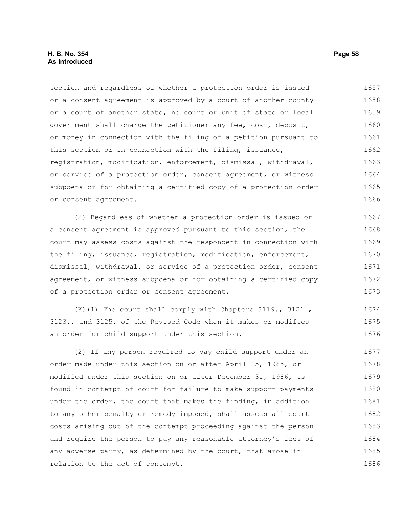section and regardless of whether a protection order is issued or a consent agreement is approved by a court of another county or a court of another state, no court or unit of state or local government shall charge the petitioner any fee, cost, deposit, or money in connection with the filing of a petition pursuant to this section or in connection with the filing, issuance, registration, modification, enforcement, dismissal, withdrawal, or service of a protection order, consent agreement, or witness subpoena or for obtaining a certified copy of a protection order or consent agreement. 1657 1658 1659 1660 1661 1662 1663 1664 1665 1666

(2) Regardless of whether a protection order is issued or a consent agreement is approved pursuant to this section, the court may assess costs against the respondent in connection with the filing, issuance, registration, modification, enforcement, dismissal, withdrawal, or service of a protection order, consent agreement, or witness subpoena or for obtaining a certified copy of a protection order or consent agreement. 1667 1668 1669 1670 1671 1672 1673

(K)(1) The court shall comply with Chapters 3119., 3121., 3123., and 3125. of the Revised Code when it makes or modifies an order for child support under this section. 1674 1675 1676

(2) If any person required to pay child support under an order made under this section on or after April 15, 1985, or modified under this section on or after December 31, 1986, is found in contempt of court for failure to make support payments under the order, the court that makes the finding, in addition to any other penalty or remedy imposed, shall assess all court costs arising out of the contempt proceeding against the person and require the person to pay any reasonable attorney's fees of any adverse party, as determined by the court, that arose in relation to the act of contempt. 1677 1678 1679 1680 1681 1682 1683 1684 1685 1686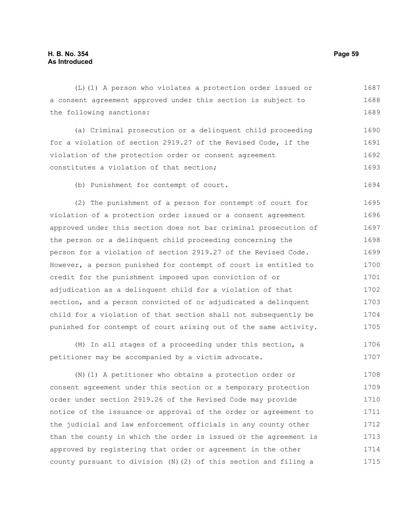(L)(1) A person who violates a protection order issued or a consent agreement approved under this section is subject to 1687 1688

the following sanctions:

(a) Criminal prosecution or a delinquent child proceeding for a violation of section 2919.27 of the Revised Code, if the violation of the protection order or consent agreement constitutes a violation of that section; 1690 1691 1692 1693

(b) Punishment for contempt of court. 1694

(2) The punishment of a person for contempt of court for violation of a protection order issued or a consent agreement approved under this section does not bar criminal prosecution of the person or a delinquent child proceeding concerning the person for a violation of section 2919.27 of the Revised Code. However, a person punished for contempt of court is entitled to credit for the punishment imposed upon conviction of or adjudication as a delinquent child for a violation of that section, and a person convicted of or adjudicated a delinquent child for a violation of that section shall not subsequently be punished for contempt of court arising out of the same activity. 1695 1696 1697 1698 1699 1700 1701 1702 1703 1704 1705

(M) In all stages of a proceeding under this section, a petitioner may be accompanied by a victim advocate. 1706 1707

(N)(1) A petitioner who obtains a protection order or consent agreement under this section or a temporary protection order under section 2919.26 of the Revised Code may provide notice of the issuance or approval of the order or agreement to the judicial and law enforcement officials in any county other than the county in which the order is issued or the agreement is approved by registering that order or agreement in the other county pursuant to division  $(N)$  (2) of this section and filing a 1708 1709 1710 1711 1712 1713 1714 1715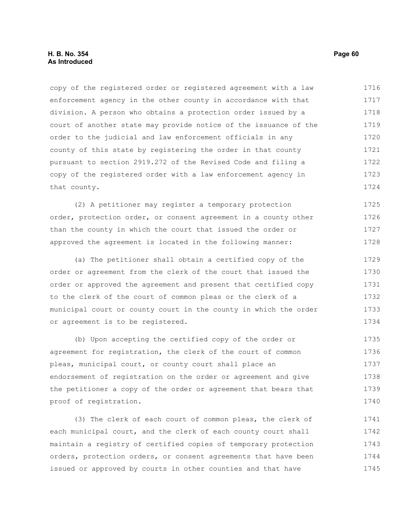copy of the registered order or registered agreement with a law enforcement agency in the other county in accordance with that division. A person who obtains a protection order issued by a court of another state may provide notice of the issuance of the order to the judicial and law enforcement officials in any county of this state by registering the order in that county pursuant to section 2919.272 of the Revised Code and filing a copy of the registered order with a law enforcement agency in that county. 1716 1717 1718 1719 1720 1721 1722 1723 1724

(2) A petitioner may register a temporary protection order, protection order, or consent agreement in a county other than the county in which the court that issued the order or approved the agreement is located in the following manner: 1725 1726 1727 1728

(a) The petitioner shall obtain a certified copy of the order or agreement from the clerk of the court that issued the order or approved the agreement and present that certified copy to the clerk of the court of common pleas or the clerk of a municipal court or county court in the county in which the order or agreement is to be registered. 1729 1730 1731 1732 1733 1734

(b) Upon accepting the certified copy of the order or agreement for registration, the clerk of the court of common pleas, municipal court, or county court shall place an endorsement of registration on the order or agreement and give the petitioner a copy of the order or agreement that bears that proof of registration. 1735 1736 1737 1738 1739 1740

(3) The clerk of each court of common pleas, the clerk of each municipal court, and the clerk of each county court shall maintain a registry of certified copies of temporary protection orders, protection orders, or consent agreements that have been issued or approved by courts in other counties and that have 1741 1742 1743 1744 1745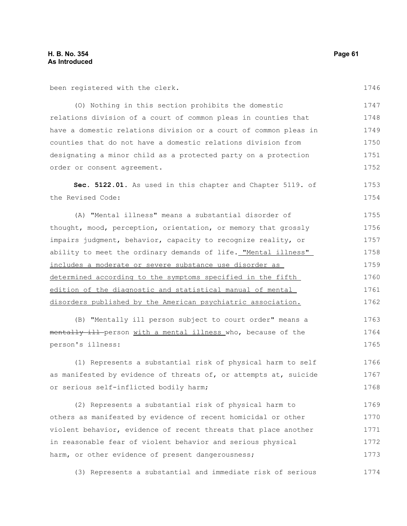been registered with the clerk.

(O) Nothing in this section prohibits the domestic relations division of a court of common pleas in counties that have a domestic relations division or a court of common pleas in counties that do not have a domestic relations division from designating a minor child as a protected party on a protection order or consent agreement. 1747 1748 1750 1751 1752

**Sec. 5122.01.** As used in this chapter and Chapter 5119. of the Revised Code: 1753 1754

(A) "Mental illness" means a substantial disorder of thought, mood, perception, orientation, or memory that grossly impairs judgment, behavior, capacity to recognize reality, or ability to meet the ordinary demands of life. "Mental illness" includes a moderate or severe substance use disorder as determined according to the symptoms specified in the fifth edition of the diagnostic and statistical manual of mental disorders published by the American psychiatric association. 1755 1756 1757 1758 1759 1760 1761 1762

(B) "Mentally ill person subject to court order" means a mentally ill person with a mental illness who, because of the person's illness: 1763 1764 1765

(1) Represents a substantial risk of physical harm to self as manifested by evidence of threats of, or attempts at, suicide or serious self-inflicted bodily harm; 1766 1767 1768

(2) Represents a substantial risk of physical harm to others as manifested by evidence of recent homicidal or other violent behavior, evidence of recent threats that place another in reasonable fear of violent behavior and serious physical harm, or other evidence of present dangerousness; 1769 1770 1771 1772 1773

(3) Represents a substantial and immediate risk of serious 1774

1749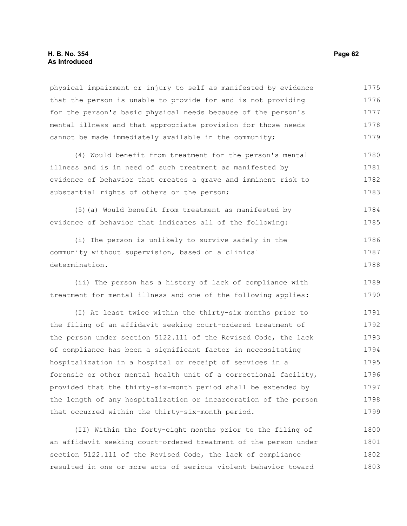## **H. B. No. 354 Page 62 As Introduced**

physical impairment or injury to self as manifested by evidence that the person is unable to provide for and is not providing for the person's basic physical needs because of the person's mental illness and that appropriate provision for those needs cannot be made immediately available in the community; 1775 1776 1777 1778 1779

(4) Would benefit from treatment for the person's mental illness and is in need of such treatment as manifested by evidence of behavior that creates a grave and imminent risk to substantial rights of others or the person; 1780 1781 1782 1783

(5)(a) Would benefit from treatment as manifested by evidence of behavior that indicates all of the following: 1784 1785

(i) The person is unlikely to survive safely in the community without supervision, based on a clinical determination. 1786 1787 1788

(ii) The person has a history of lack of compliance with treatment for mental illness and one of the following applies: 1789 1790

(I) At least twice within the thirty-six months prior to the filing of an affidavit seeking court-ordered treatment of the person under section 5122.111 of the Revised Code, the lack of compliance has been a significant factor in necessitating hospitalization in a hospital or receipt of services in a forensic or other mental health unit of a correctional facility, provided that the thirty-six-month period shall be extended by the length of any hospitalization or incarceration of the person that occurred within the thirty-six-month period. 1791 1792 1793 1794 1795 1796 1797 1798 1799

(II) Within the forty-eight months prior to the filing of an affidavit seeking court-ordered treatment of the person under section 5122.111 of the Revised Code, the lack of compliance resulted in one or more acts of serious violent behavior toward 1800 1801 1802 1803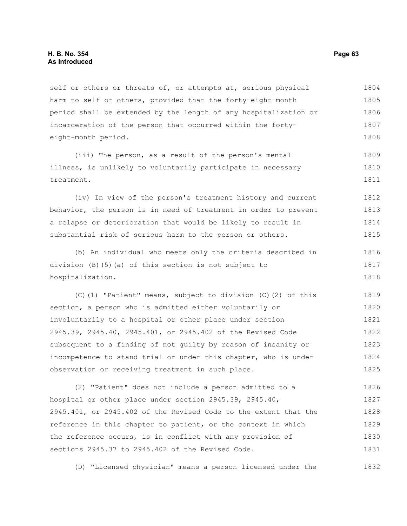self or others or threats of, or attempts at, serious physical harm to self or others, provided that the forty-eight-month period shall be extended by the length of any hospitalization or incarceration of the person that occurred within the fortyeight-month period. 1804 1805 1806 1807 1808

(iii) The person, as a result of the person's mental illness, is unlikely to voluntarily participate in necessary treatment. 1809 1810 1811

(iv) In view of the person's treatment history and current behavior, the person is in need of treatment in order to prevent a relapse or deterioration that would be likely to result in substantial risk of serious harm to the person or others. 1812 1813 1814 1815

(b) An individual who meets only the criteria described in division (B)(5)(a) of this section is not subject to hospitalization. 1816 1817 1818

(C)(1) "Patient" means, subject to division (C)(2) of this section, a person who is admitted either voluntarily or involuntarily to a hospital or other place under section 2945.39, 2945.40, 2945.401, or 2945.402 of the Revised Code subsequent to a finding of not guilty by reason of insanity or incompetence to stand trial or under this chapter, who is under observation or receiving treatment in such place. 1819 1820 1821 1822 1823 1824 1825

(2) "Patient" does not include a person admitted to a hospital or other place under section 2945.39, 2945.40, 2945.401, or 2945.402 of the Revised Code to the extent that the reference in this chapter to patient, or the context in which the reference occurs, is in conflict with any provision of sections 2945.37 to 2945.402 of the Revised Code. 1826 1827 1828 1829 1830 1831

(D) "Licensed physician" means a person licensed under the 1832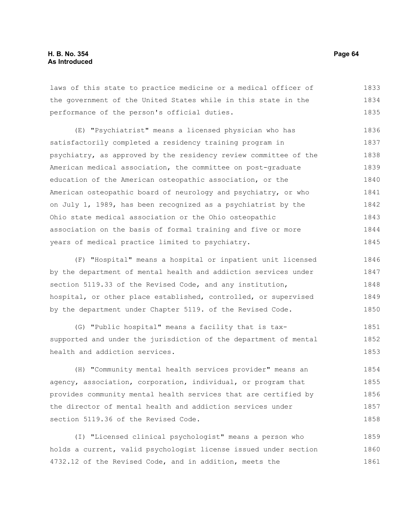laws of this state to practice medicine or a medical officer of the government of the United States while in this state in the performance of the person's official duties. 1833 1834 1835

(E) "Psychiatrist" means a licensed physician who has satisfactorily completed a residency training program in psychiatry, as approved by the residency review committee of the American medical association, the committee on post-graduate education of the American osteopathic association, or the American osteopathic board of neurology and psychiatry, or who on July 1, 1989, has been recognized as a psychiatrist by the Ohio state medical association or the Ohio osteopathic association on the basis of formal training and five or more years of medical practice limited to psychiatry. 1836 1837 1838 1839 1840 1841 1842 1843 1844 1845

(F) "Hospital" means a hospital or inpatient unit licensed by the department of mental health and addiction services under section 5119.33 of the Revised Code, and any institution, hospital, or other place established, controlled, or supervised by the department under Chapter 5119. of the Revised Code. 1846 1847 1848 1849 1850

(G) "Public hospital" means a facility that is taxsupported and under the jurisdiction of the department of mental health and addiction services. 1851 1852 1853

(H) "Community mental health services provider" means an agency, association, corporation, individual, or program that provides community mental health services that are certified by the director of mental health and addiction services under section 5119.36 of the Revised Code. 1854 1855 1856 1857 1858

(I) "Licensed clinical psychologist" means a person who holds a current, valid psychologist license issued under section 4732.12 of the Revised Code, and in addition, meets the 1859 1860 1861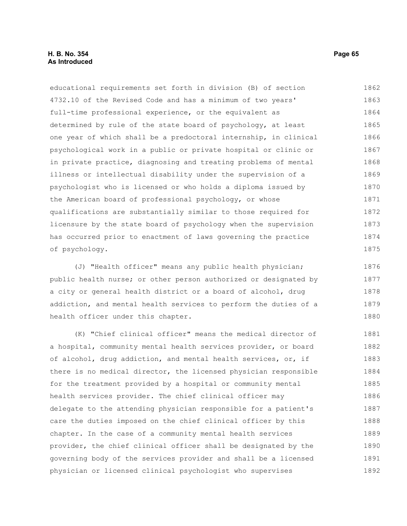# **H. B. No. 354 Page 65 As Introduced**

educational requirements set forth in division (B) of section 4732.10 of the Revised Code and has a minimum of two years' full-time professional experience, or the equivalent as determined by rule of the state board of psychology, at least one year of which shall be a predoctoral internship, in clinical psychological work in a public or private hospital or clinic or in private practice, diagnosing and treating problems of mental illness or intellectual disability under the supervision of a psychologist who is licensed or who holds a diploma issued by the American board of professional psychology, or whose qualifications are substantially similar to those required for licensure by the state board of psychology when the supervision has occurred prior to enactment of laws governing the practice of psychology. 1862 1863 1864 1865 1866 1867 1868 1869 1870 1871 1872 1873 1874 1875

(J) "Health officer" means any public health physician; public health nurse; or other person authorized or designated by a city or general health district or a board of alcohol, drug addiction, and mental health services to perform the duties of a health officer under this chapter. 1876 1877 1878 1879 1880

(K) "Chief clinical officer" means the medical director of a hospital, community mental health services provider, or board of alcohol, drug addiction, and mental health services, or, if there is no medical director, the licensed physician responsible for the treatment provided by a hospital or community mental health services provider. The chief clinical officer may delegate to the attending physician responsible for a patient's care the duties imposed on the chief clinical officer by this chapter. In the case of a community mental health services provider, the chief clinical officer shall be designated by the governing body of the services provider and shall be a licensed physician or licensed clinical psychologist who supervises 1881 1882 1883 1884 1885 1886 1887 1888 1889 1890 1891 1892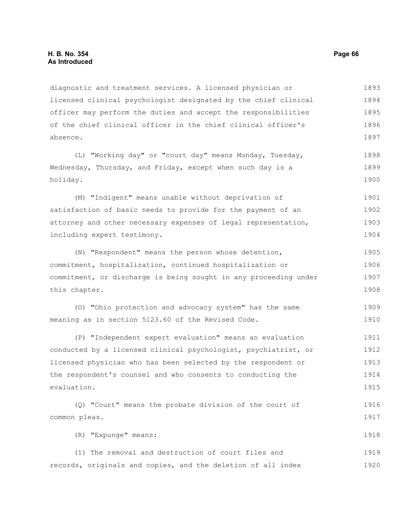diagnostic and treatment services. A licensed physician or licensed clinical psychologist designated by the chief clinical officer may perform the duties and accept the responsibilities of the chief clinical officer in the chief clinical officer's absence. 1893 1894 1895 1896 1897

(L) "Working day" or "court day" means Monday, Tuesday, Wednesday, Thursday, and Friday, except when such day is a holiday. 1898 1899 1900

(M) "Indigent" means unable without deprivation of satisfaction of basic needs to provide for the payment of an attorney and other necessary expenses of legal representation, including expert testimony. 1901 1902 1903 1904

(N) "Respondent" means the person whose detention, commitment, hospitalization, continued hospitalization or commitment, or discharge is being sought in any proceeding under this chapter. 1905 1906 1907 1908

(O) "Ohio protection and advocacy system" has the same meaning as in section 5123.60 of the Revised Code. 1909 1910

(P) "Independent expert evaluation" means an evaluation conducted by a licensed clinical psychologist, psychiatrist, or licensed physician who has been selected by the respondent or the respondent's counsel and who consents to conducting the evaluation. 1911 1912 1913 1914 1915

(Q) "Court" means the probate division of the court of common pleas. 1916 1917

(R) "Expunge" means: 1918

(1) The removal and destruction of court files and records, originals and copies, and the deletion of all index 1919 1920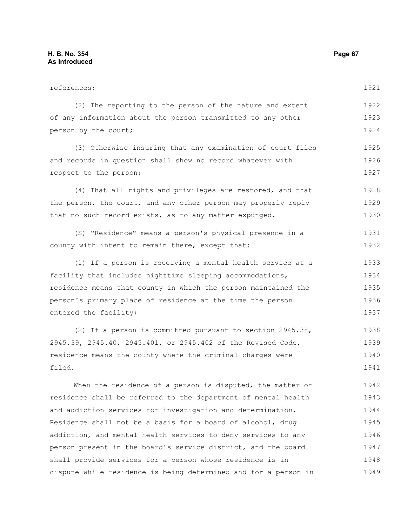references; (2) The reporting to the person of the nature and extent of any information about the person transmitted to any other person by the court; (3) Otherwise insuring that any examination of court files and records in question shall show no record whatever with respect to the person; (4) That all rights and privileges are restored, and that the person, the court, and any other person may properly reply that no such record exists, as to any matter expunged. (S) "Residence" means a person's physical presence in a county with intent to remain there, except that: (1) If a person is receiving a mental health service at a facility that includes nighttime sleeping accommodations, residence means that county in which the person maintained the person's primary place of residence at the time the person entered the facility; (2) If a person is committed pursuant to section 2945.38, 2945.39, 2945.40, 2945.401, or 2945.402 of the Revised Code, residence means the county where the criminal charges were filed. When the residence of a person is disputed, the matter of residence shall be referred to the department of mental health and addiction services for investigation and determination. Residence shall not be a basis for a board of alcohol, drug addiction, and mental health services to deny services to any person present in the board's service district, and the board shall provide services for a person whose residence is in dispute while residence is being determined and for a person in 1921 1922 1923 1924 1925 1926 1927 1928 1929 1930 1931 1932 1933 1934 1935 1936 1937 1938 1939 1940 1941 1942 1943 1944 1945 1946 1947 1948 1949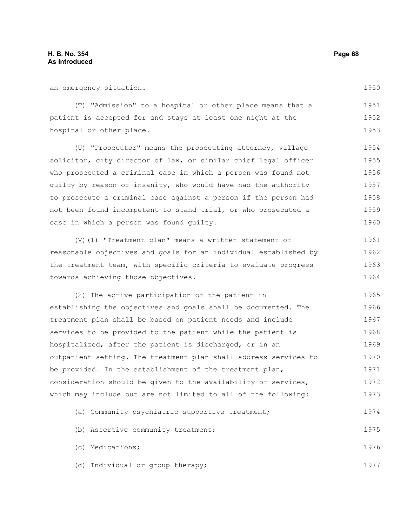| an emergency situation.                                          | 1950 |
|------------------------------------------------------------------|------|
| (T) "Admission" to a hospital or other place means that a        | 1951 |
| patient is accepted for and stays at least one night at the      | 1952 |
| hospital or other place.                                         | 1953 |
| (U) "Prosecutor" means the prosecuting attorney, village         | 1954 |
| solicitor, city director of law, or similar chief legal officer  | 1955 |
| who prosecuted a criminal case in which a person was found not   | 1956 |
| quilty by reason of insanity, who would have had the authority   | 1957 |
| to prosecute a criminal case against a person if the person had  | 1958 |
| not been found incompetent to stand trial, or who prosecuted a   | 1959 |
| case in which a person was found quilty.                         | 1960 |
| (V) (1) "Treatment plan" means a written statement of            | 1961 |
| reasonable objectives and goals for an individual established by | 1962 |
| the treatment team, with specific criteria to evaluate progress  | 1963 |
| towards achieving those objectives.                              | 1964 |
| (2) The active participation of the patient in                   | 1965 |
| establishing the objectives and goals shall be documented. The   | 1966 |
|                                                                  |      |

establishing the objectives and goals shall be documented. The treatment plan shall be based on patient needs and include services to be provided to the patient while the patient is hospitalized, after the patient is discharged, or in an outpatient setting. The treatment plan shall address services to be provided. In the establishment of the treatment plan, consideration should be given to the availability of services, which may include but are not limited to all of the following: 1966 1967 1968 1969 1970 1971 1972 1973

(a) Community psychiatric supportive treatment; 1974

(b) Assertive community treatment; 1975

(c) Medications; 1976

(d) Individual or group therapy; 1977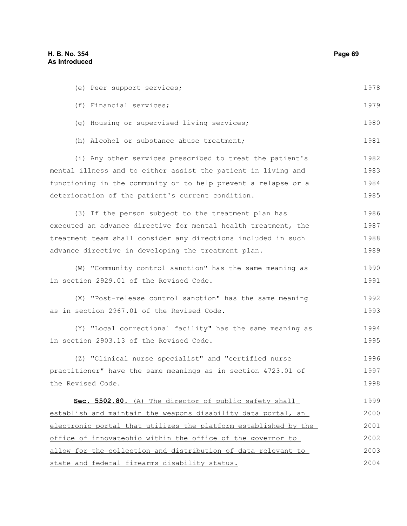| (e) Peer support services;                                      | 1978 |
|-----------------------------------------------------------------|------|
| (f) Financial services;                                         | 1979 |
| (g) Housing or supervised living services;                      | 1980 |
| (h) Alcohol or substance abuse treatment;                       | 1981 |
| (i) Any other services prescribed to treat the patient's        | 1982 |
| mental illness and to either assist the patient in living and   | 1983 |
| functioning in the community or to help prevent a relapse or a  | 1984 |
| deterioration of the patient's current condition.               | 1985 |
| (3) If the person subject to the treatment plan has             | 1986 |
| executed an advance directive for mental health treatment, the  | 1987 |
| treatment team shall consider any directions included in such   | 1988 |
| advance directive in developing the treatment plan.             | 1989 |
| (W) "Community control sanction" has the same meaning as        | 1990 |
| in section 2929.01 of the Revised Code.                         | 1991 |
| (X) "Post-release control sanction" has the same meaning        | 1992 |
| as in section 2967.01 of the Revised Code.                      | 1993 |
| (Y) "Local correctional facility" has the same meaning as       | 1994 |
| in section 2903.13 of the Revised Code.                         | 1995 |
| (Z) "Clinical nurse specialist" and "certified nurse            | 1996 |
| practitioner" have the same meanings as in section 4723.01 of   | 1997 |
| the Revised Code.                                               | 1998 |
| Sec. 5502.80. (A) The director of public safety shall           | 1999 |
| establish and maintain the weapons disability data portal, an   | 2000 |
| electronic portal that utilizes the platform established by the | 2001 |
| office of innovateohio within the office of the governor to     | 2002 |
| allow for the collection and distribution of data relevant to   | 2003 |
| state and federal firearms disability status.                   | 2004 |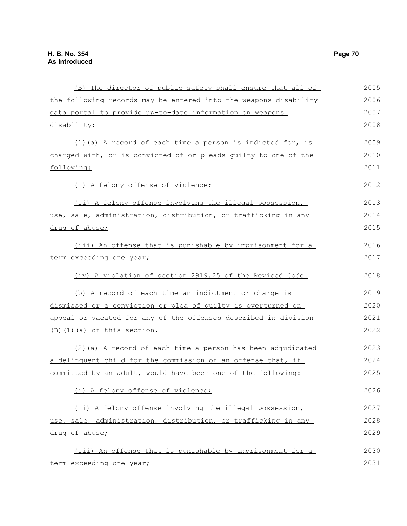| (B) The director of public safety shall ensure that all of       | 2005 |
|------------------------------------------------------------------|------|
| the following records may be entered into the weapons disability | 2006 |
| data portal to provide up-to-date information on weapons         | 2007 |
| disability:                                                      | 2008 |
| (1) (a) A record of each time a person is indicted for, is       | 2009 |
| charged with, or is convicted of or pleads quilty to one of the  | 2010 |
| following:                                                       | 2011 |
| (i) A felony offense of violence;                                | 2012 |
| (ii) A felony offense involving the illegal possession,          | 2013 |
| use, sale, administration, distribution, or trafficking in any   | 2014 |
| drug of abuse;                                                   | 2015 |
| (iii) An offense that is punishable by imprisonment for a        | 2016 |
| term exceeding one year;                                         | 2017 |
| (iv) A violation of section 2919.25 of the Revised Code.         | 2018 |
| (b) A record of each time an indictment or charge is             | 2019 |
| dismissed or a conviction or plea of quilty is overturned on     | 2020 |
| appeal or vacated for any of the offenses described in division  | 2021 |
| (B) (1) (a) of this section.                                     | 2022 |
| (2) (a) A record of each time a person has been adjudicated      | 2023 |
| a delinquent child for the commission of an offense that, if     | 2024 |
| committed by an adult, would have been one of the following:     | 2025 |
| (i) A felony offense of violence;                                | 2026 |
| (ii) A felony offense involving the illegal possession,          | 2027 |
| use, sale, administration, distribution, or trafficking in any   | 2028 |
| drug of abuse;                                                   | 2029 |
| (iii) An offense that is punishable by imprisonment for a        | 2030 |
| term exceeding one year;                                         | 2031 |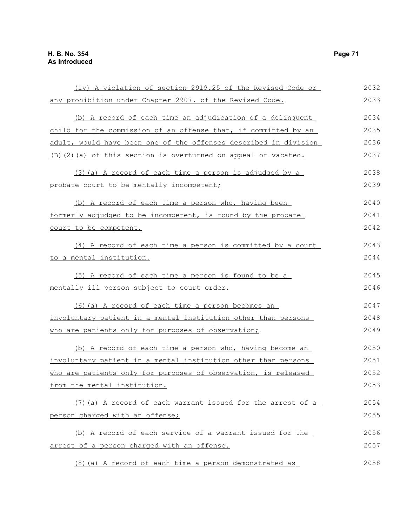| (iv) A violation of section 2919.25 of the Revised Code or       | 2032 |
|------------------------------------------------------------------|------|
| any prohibition under Chapter 2907. of the Revised Code.         | 2033 |
| (b) A record of each time an adjudication of a delinquent        | 2034 |
| child for the commission of an offense that, if committed by an  | 2035 |
| adult, would have been one of the offenses described in division | 2036 |
| (B) (2) (a) of this section is overturned on appeal or vacated.  | 2037 |
| (3) (a) A record of each time a person is adjudged by a          | 2038 |
| probate court to be mentally incompetent;                        | 2039 |
| (b) A record of each time a person who, having been              | 2040 |
| formerly adjudged to be incompetent, is found by the probate     | 2041 |
| court to be competent.                                           | 2042 |
| (4) A record of each time a person is committed by a court       | 2043 |
| to a mental institution.                                         | 2044 |
| (5) A record of each time a person is found to be a              | 2045 |
| mentally ill person subject to court order.                      | 2046 |
| (6) (a) A record of each time a person becomes an                | 2047 |
| involuntary patient in a mental institution other than persons   | 2048 |
| who are patients only for purposes of observation;               | 2049 |
| (b) A record of each time a person who, having become an         | 2050 |
| involuntary patient in a mental institution other than persons   | 2051 |
| who are patients only for purposes of observation, is released   | 2052 |
| from the mental institution.                                     | 2053 |
| (7) (a) A record of each warrant issued for the arrest of a      | 2054 |
| person charged with an offense;                                  | 2055 |
| (b) A record of each service of a warrant issued for the         | 2056 |
| arrest of a person charged with an offense.                      | 2057 |
| (8) (a) A record of each time a person demonstrated as           | 2058 |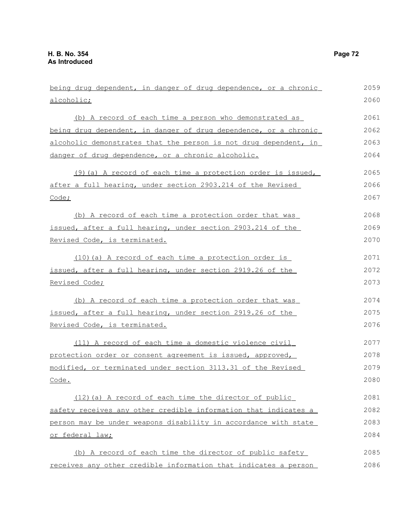being drug dependent, in danger of drug dependence, or a chronic alcoholic; (b) A record of each time a person who demonstrated as being drug dependent, in danger of drug dependence, or a chronic alcoholic demonstrates that the person is not drug dependent, in danger of drug dependence, or a chronic alcoholic. (9)(a) A record of each time a protection order is issued, after a full hearing, under section 2903.214 of the Revised Code; (b) A record of each time a protection order that was issued, after a full hearing, under section 2903.214 of the Revised Code, is terminated. (10)(a) A record of each time a protection order is issued, after a full hearing, under section 2919.26 of the Revised Code; (b) A record of each time a protection order that was issued, after a full hearing, under section 2919.26 of the Revised Code, is terminated. (11) A record of each time a domestic violence civil protection order or consent agreement is issued, approved, modified, or terminated under section 3113.31 of the Revised Code. (12)(a) A record of each time the director of public safety receives any other credible information that indicates a person may be under weapons disability in accordance with state or federal law; (b) A record of each time the director of public safety receives any other credible information that indicates a person 2059 2060 2061 2062 2063 2064 2065 2066 2067 2068 2069 2070 2071 2072 2073 2074 2075 2076 2077 2078 2079 2080 2081 2082 2083 2084 2085 2086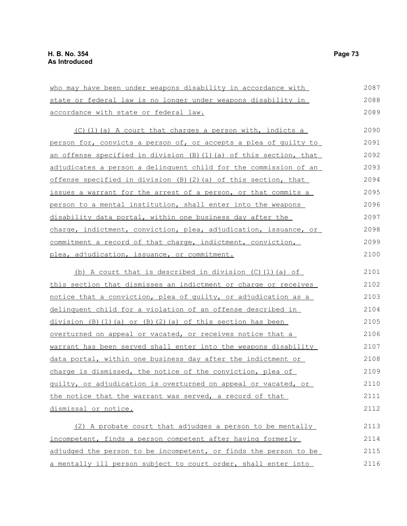| <u>who may have been under weapons disability in accordance with </u>   | 2087 |
|-------------------------------------------------------------------------|------|
| state or federal law is no longer under weapons disability in           | 2088 |
| accordance with state or federal law.                                   | 2089 |
| (C) (1) (a) A court that charges a person with, indicts a               | 2090 |
| person for, convicts a person of, or accepts a plea of quilty to        | 2091 |
| an offense specified in division (B)(1)(a) of this section, that        | 2092 |
| <u>adjudicates a person a delinquent child for the commission of an</u> | 2093 |
| offense specified in division (B)(2)(a) of this section, that           | 2094 |
| issues a warrant for the arrest of a person, or that commits a          | 2095 |
| <u>person to a mental institution, shall enter into the weapons </u>    | 2096 |
| <u>disability data portal, within one business day after the </u>       | 2097 |
| charge, indictment, conviction, plea, adjudication, issuance, or        | 2098 |
| commitment a record of that charge, indictment, conviction,             | 2099 |
| <u>plea, adjudication, issuance, or commitment.</u>                     | 2100 |
|                                                                         |      |
| (b) A court that is described in division $(C)$ (1) (a) of              | 2101 |
| this section that dismisses an indictment or charge or receives         | 2102 |
| notice that a conviction, plea of quilty, or adjudication as a          | 2103 |
| <u>delinquent child for a violation of an offense described in </u>     | 2104 |
| division $(B) (1) (a)$ or $(B) (2) (a)$ of this section has been        | 2105 |
| <u>overturned on appeal or vacated, or receives notice that a </u>      | 2106 |
| <u>warrant has been served shall enter into the weapons disability </u> | 2107 |
| data portal, within one business day after the indictment or            | 2108 |
| charge is dismissed, the notice of the conviction, plea of              | 2109 |
| quilty, or adjudication is overturned on appeal or vacated, or          | 2110 |
| the notice that the warrant was served, a record of that                | 2111 |
| dismissal or notice.                                                    | 2112 |
| (2) A probate court that adjudges a person to be mentally               | 2113 |
| incompetent, finds a person competent after having formerly             | 2114 |
| adjudged the person to be incompetent, or finds the person to be        | 2115 |
|                                                                         |      |

a mentally ill person subject to court order, shall enter into

2116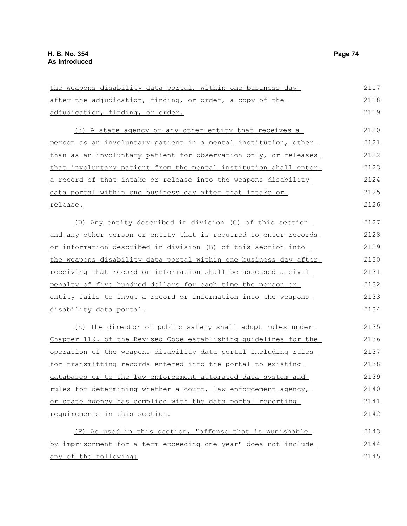| the weapons disability data portal, within one business day         | 2117 |
|---------------------------------------------------------------------|------|
| after the adjudication, finding, or order, a copy of the            | 2118 |
| adjudication, finding, or order.                                    | 2119 |
| (3) A state agency or any other entity that receives a              | 2120 |
| person as an involuntary patient in a mental institution, other     | 2121 |
| than as an involuntary patient for observation only, or releases    | 2122 |
| that involuntary patient from the mental institution shall enter    | 2123 |
| a record of that intake or release into the weapons disability      | 2124 |
| data portal within one business day after that intake or            | 2125 |
| release.                                                            | 2126 |
| (D) Any entity described in division (C) of this section            | 2127 |
| and any other person or entity that is required to enter records    | 2128 |
| or information described in division (B) of this section into       | 2129 |
| the weapons disability data portal within one business day after    | 2130 |
| receiving that record or information shall be assessed a civil      | 2131 |
| penalty of five hundred dollars for each time the person or         | 2132 |
| entity fails to input a record or information into the weapons      | 2133 |
| disability data portal.                                             | 2134 |
| (E) The director of public safety shall adopt rules under           | 2135 |
| Chapter 119. of the Revised Code establishing quidelines for the    | 2136 |
| operation of the weapons disability data portal including rules     | 2137 |
| <u>for transmitting records entered into the portal to existing</u> | 2138 |
| databases or to the law enforcement automated data system and       | 2139 |
| rules for determining whether a court, law enforcement agency,      | 2140 |
| or state agency has complied with the data portal reporting         | 2141 |
| requirements in this section.                                       | 2142 |
| (F) As used in this section, "offense that is punishable            | 2143 |
| by imprisonment for a term exceeding one year" does not include     | 2144 |
| any of the following:                                               | 2145 |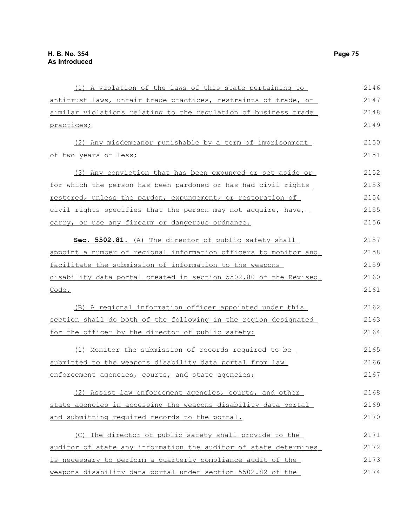| (1) A violation of the laws of this state pertaining to          | 2146 |
|------------------------------------------------------------------|------|
| antitrust laws, unfair trade practices, restraints of trade, or  | 2147 |
| similar violations relating to the regulation of business trade  | 2148 |
| practices;                                                       | 2149 |
| (2) Any misdemeanor punishable by a term of imprisonment         | 2150 |
| of two years or less;                                            | 2151 |
| (3) Any conviction that has been expunged or set aside or        | 2152 |
| for which the person has been pardoned or has had civil rights   | 2153 |
| restored, unless the pardon, expungement, or restoration of      | 2154 |
| civil rights specifies that the person may not acquire, have,    | 2155 |
| carry, or use any firearm or dangerous ordnance.                 | 2156 |
| Sec. 5502.81. (A) The director of public safety shall            | 2157 |
| appoint a number of regional information officers to monitor and | 2158 |
| facilitate the submission of information to the weapons          | 2159 |
| disability data portal created in section 5502.80 of the Revised | 2160 |
| Code.                                                            | 2161 |
| (B) A regional information officer appointed under this          | 2162 |
| section shall do both of the following in the region designated  | 2163 |
| for the officer by the director of public safety:                | 2164 |
| (1) Monitor the submission of records required to be             | 2165 |
| submitted to the weapons disability data portal from law         | 2166 |
| enforcement agencies, courts, and state agencies;                | 2167 |
| (2) Assist law enforcement agencies, courts, and other           | 2168 |
| state agencies in accessing the weapons disability data portal   | 2169 |
| and submitting required records to the portal.                   | 2170 |
| (C) The director of public safety shall provide to the           | 2171 |
| auditor of state any information the auditor of state determines | 2172 |
| is necessary to perform a quarterly compliance audit of the      | 2173 |
| weapons disability data portal under section 5502.82 of the      | 2174 |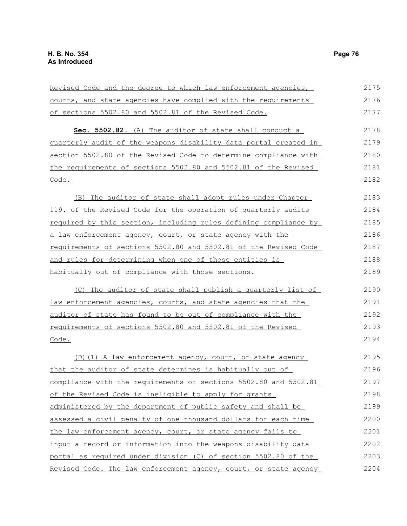| Revised Code and the degree to which law enforcement agencies,   | 2175 |
|------------------------------------------------------------------|------|
| courts, and state agencies have complied with the requirements   | 2176 |
| of sections 5502.80 and 5502.81 of the Revised Code.             | 2177 |
| Sec. 5502.82. (A) The auditor of state shall conduct a           | 2178 |
| quarterly audit of the weapons disability data portal created in | 2179 |
| section 5502.80 of the Revised Code to determine compliance with | 2180 |
| the requirements of sections 5502.80 and 5502.81 of the Revised  | 2181 |
| Code.                                                            | 2182 |
| (B) The auditor of state shall adopt rules under Chapter         | 2183 |
| 119. of the Revised Code for the operation of quarterly audits   | 2184 |
| required by this section, including rules defining compliance by | 2185 |
| a law enforcement agency, court, or state agency with the        | 2186 |
| requirements of sections 5502.80 and 5502.81 of the Revised Code | 2187 |
| and rules for determining when one of those entities is          | 2188 |
| habitually out of compliance with those sections.                | 2189 |
| (C) The auditor of state shall publish a quarterly list of       | 2190 |
| law enforcement agencies, courts, and state agencies that the    | 2191 |
| auditor of state has found to be out of compliance with the      | 2192 |
| requirements of sections 5502.80 and 5502.81 of the Revised      | 2193 |
| Code.                                                            | 2194 |
| (D) (1) A law enforcement agency, court, or state agency         | 2195 |
| that the auditor of state determines is habitually out of        | 2196 |
| compliance with the requirements of sections 5502.80 and 5502.81 | 2197 |
| of the Revised Code is ineligible to apply for grants            | 2198 |
| administered by the department of public safety and shall be     | 2199 |
| assessed a civil penalty of one thousand dollars for each time   | 2200 |
| the law enforcement agency, court, or state agency fails to      | 2201 |
| input a record or information into the weapons disability data   | 2202 |
| portal as required under division (C) of section 5502.80 of the  | 2203 |
| Revised Code. The law enforcement agency, court, or state agency | 2204 |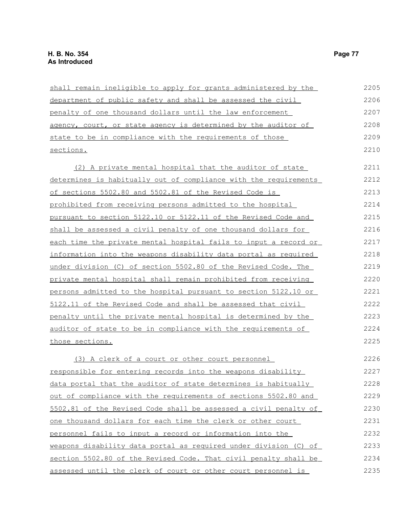| shall remain ineligible to apply for grants administered by the  | 2205 |
|------------------------------------------------------------------|------|
| department of public safety and shall be assessed the civil      | 2206 |
| penalty of one thousand dollars until the law enforcement        | 2207 |
| agency, court, or state agency is determined by the auditor of   | 2208 |
| state to be in compliance with the requirements of those         | 2209 |
| sections.                                                        | 2210 |
| (2) A private mental hospital that the auditor of state          | 2211 |
| determines is habitually out of compliance with the requirements | 2212 |
| of sections 5502.80 and 5502.81 of the Revised Code is           | 2213 |
| prohibited from receiving persons admitted to the hospital       | 2214 |
| pursuant to section 5122.10 or 5122.11 of the Revised Code and   | 2215 |
| shall be assessed a civil penalty of one thousand dollars for    | 2216 |
| each time the private mental hospital fails to input a record or | 2217 |
| information into the weapons disability data portal as required  | 2218 |
| under division (C) of section 5502.80 of the Revised Code. The   | 2219 |
| private mental hospital shall remain prohibited from receiving   | 2220 |
| persons admitted to the hospital pursuant to section 5122.10 or  | 2221 |
| 5122.11 of the Revised Code and shall be assessed that civil     | 2222 |
| penalty until the private mental hospital is determined by the   | 2223 |
| auditor of state to be in compliance with the requirements of    | 2224 |
| those sections.                                                  | 2225 |
| (3) A clerk of a court or other court personnel                  | 2226 |
| responsible for entering records into the weapons disability     | 2227 |
| data portal that the auditor of state determines is habitually   | 2228 |
| out of compliance with the requirements of sections 5502.80 and  | 2229 |
| 5502.81 of the Revised Code shall be assessed a civil penalty of | 2230 |
| one thousand dollars for each time the clerk or other court      | 2231 |
| personnel fails to input a record or information into the        | 2232 |
| weapons disability data portal as required under division (C) of | 2233 |
| section 5502.80 of the Revised Code. That civil penalty shall be | 2234 |
| assessed until the clerk of court or other court personnel is    | 2235 |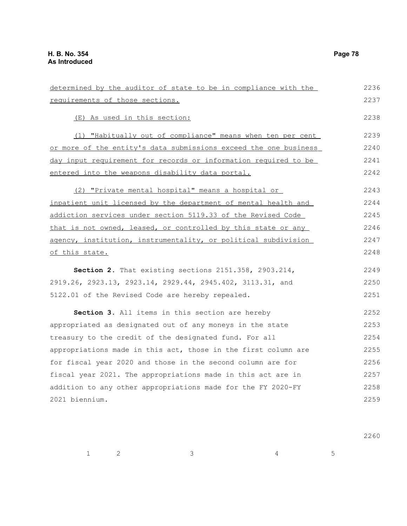determined by the auditor of state to be in compliance with the requirements of those sections. (E) As used in this section: (1) "Habitually out of compliance" means when ten per cent or more of the entity's data submissions exceed the one business day input requirement for records or information required to be entered into the weapons disability data portal. (2) "Private mental hospital" means a hospital or inpatient unit licensed by the department of mental health and addiction services under section 5119.33 of the Revised Code that is not owned, leased, or controlled by this state or any agency, institution, instrumentality, or political subdivision of this state. **Section 2.** That existing sections 2151.358, 2903.214, 2919.26, 2923.13, 2923.14, 2929.44, 2945.402, 3113.31, and 5122.01 of the Revised Code are hereby repealed. **Section 3.** All items in this section are hereby appropriated as designated out of any moneys in the state treasury to the credit of the designated fund. For all appropriations made in this act, those in the first column are for fiscal year 2020 and those in the second column are for fiscal year 2021. The appropriations made in this act are in addition to any other appropriations made for the FY 2020-FY 2021 biennium. 2236 2237 2238 2239 2240 2241 2242 2243 2244 2245 2246 2247 2248 2249 2250 2251 2252 2253 2254 2255 2256 2257 2258 2259

 $1 \t 2 \t 3 \t 4 \t 5$ 

2260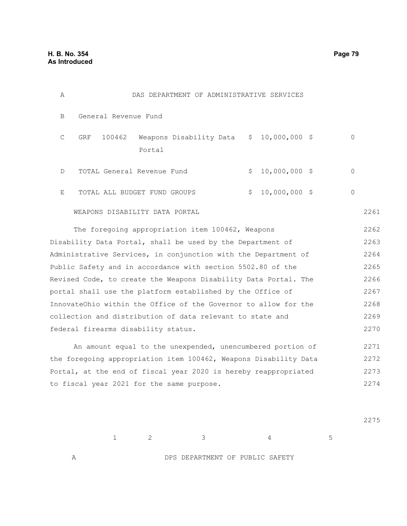| $\mathcal{A}$                                                  | DAS DEPARTMENT OF ADMINISTRATIVE SERVICES                           |              |                 |  |              |      |
|----------------------------------------------------------------|---------------------------------------------------------------------|--------------|-----------------|--|--------------|------|
| B                                                              | General Revenue Fund                                                |              |                 |  |              |      |
| $\mathsf{C}$                                                   | Weapons Disability Data \$ 10,000,000 \$<br>100462<br>GRF<br>Portal |              |                 |  | $\mathbf{0}$ |      |
| D                                                              | TOTAL General Revenue Fund                                          | $\zeta$      | $10,000,000$ \$ |  | $\mathbf{0}$ |      |
| E                                                              | TOTAL ALL BUDGET FUND GROUPS                                        | $\mathsf{S}$ | $10,000,000$ \$ |  | $\mathbf{0}$ |      |
|                                                                | WEAPONS DISABILITY DATA PORTAL                                      |              |                 |  |              | 2261 |
|                                                                | The foregoing appropriation item 100462, Weapons                    |              |                 |  |              | 2262 |
|                                                                | Disability Data Portal, shall be used by the Department of          |              |                 |  |              | 2263 |
| Administrative Services, in conjunction with the Department of |                                                                     |              |                 |  |              | 2264 |
| Public Safety and in accordance with section 5502 80 of the    |                                                                     |              |                 |  |              | 2265 |

Public Safety and in accordance with section 5502.80 of the Revised Code, to create the Weapons Disability Data Portal. The portal shall use the platform established by the Office of InnovateOhio within the Office of the Governor to allow for the collection and distribution of data relevant to state and federal firearms disability status. 2265 2266 2267 2268 2269 2270

An amount equal to the unexpended, unencumbered portion of the foregoing appropriation item 100462, Weapons Disability Data Portal, at the end of fiscal year 2020 is hereby reappropriated to fiscal year 2021 for the same purpose. 2271 2272 2273 2274

A DPS DEPARTMENT OF PUBLIC SAFETY

1 2 3 4 5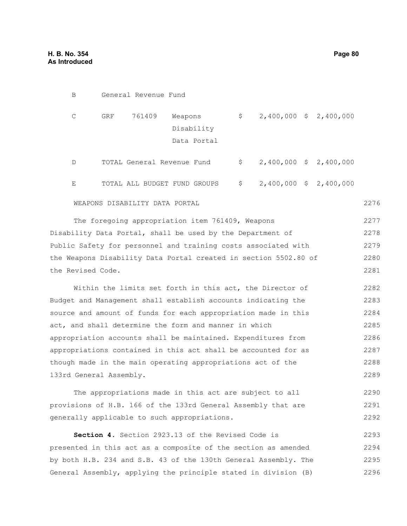| B | General Revenue Fund |                                |                                      |    |                            |                            |      |
|---|----------------------|--------------------------------|--------------------------------------|----|----------------------------|----------------------------|------|
| C | GRF                  | 761409                         | Weapons<br>Disability<br>Data Portal | \$ | $2,400,000 \div 2,400,000$ |                            |      |
| D |                      |                                | TOTAL General Revenue Fund           | \$ |                            | $2,400,000 \div 2,400,000$ |      |
| Е |                      |                                | TOTAL ALL BUDGET FUND GROUPS         | \$ | $2,400,000 \div 2,400,000$ |                            |      |
|   |                      | WEAPONS DISABILITY DATA PORTAL |                                      |    |                            |                            | 2276 |

The foregoing appropriation item 761409, Weapons Disability Data Portal, shall be used by the Department of Public Safety for personnel and training costs associated with the Weapons Disability Data Portal created in section 5502.80 of the Revised Code. 2277 2278 2279 2280 2281

Within the limits set forth in this act, the Director of Budget and Management shall establish accounts indicating the source and amount of funds for each appropriation made in this act, and shall determine the form and manner in which appropriation accounts shall be maintained. Expenditures from appropriations contained in this act shall be accounted for as though made in the main operating appropriations act of the 133rd General Assembly. 2282 2283 2284 2285 2286 2287 2288 2289

The appropriations made in this act are subject to all provisions of H.B. 166 of the 133rd General Assembly that are generally applicable to such appropriations. 2290 2291 2292

**Section 4.** Section 2923.13 of the Revised Code is presented in this act as a composite of the section as amended by both H.B. 234 and S.B. 43 of the 130th General Assembly. The General Assembly, applying the principle stated in division (B) 2293 2294 2295 2296